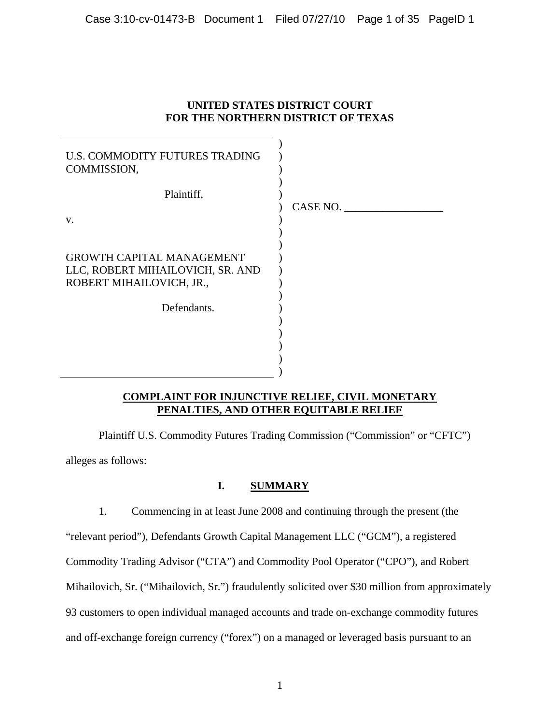## **UNITED STATES DISTRICT COURT FOR THE NORTHERN DISTRICT OF TEXAS**

| U.S. COMMODITY FUTURES TRADING<br>COMMISSION,                                                    |          |
|--------------------------------------------------------------------------------------------------|----------|
| Plaintiff,<br>V.                                                                                 | CASE NO. |
| <b>GROWTH CAPITAL MANAGEMENT</b><br>LLC, ROBERT MIHAILOVICH, SR. AND<br>ROBERT MIHAILOVICH, JR., |          |
| Defendants.                                                                                      |          |

## **COMPLAINT FOR INJUNCTIVE RELIEF, CIVIL MONETARY PENALTIES, AND OTHER EQUITABLE RELIEF**

 Plaintiff U.S. Commodity Futures Trading Commission ("Commission" or "CFTC") alleges as follows:

## **I. SUMMARY**

1. Commencing in at least June 2008 and continuing through the present (the "relevant period"), Defendants Growth Capital Management LLC ("GCM"), a registered Commodity Trading Advisor ("CTA") and Commodity Pool Operator ("CPO"), and Robert Mihailovich, Sr. ("Mihailovich, Sr.") fraudulently solicited over \$30 million from approximately 93 customers to open individual managed accounts and trade on-exchange commodity futures and off-exchange foreign currency ("forex") on a managed or leveraged basis pursuant to an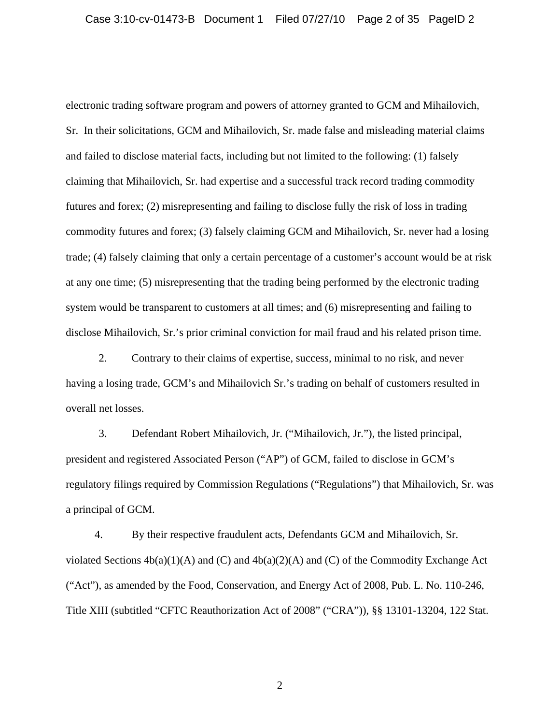electronic trading software program and powers of attorney granted to GCM and Mihailovich, Sr. In their solicitations, GCM and Mihailovich, Sr. made false and misleading material claims and failed to disclose material facts, including but not limited to the following: (1) falsely claiming that Mihailovich, Sr. had expertise and a successful track record trading commodity futures and forex; (2) misrepresenting and failing to disclose fully the risk of loss in trading commodity futures and forex; (3) falsely claiming GCM and Mihailovich, Sr. never had a losing trade; (4) falsely claiming that only a certain percentage of a customer's account would be at risk at any one time; (5) misrepresenting that the trading being performed by the electronic trading system would be transparent to customers at all times; and (6) misrepresenting and failing to disclose Mihailovich, Sr.'s prior criminal conviction for mail fraud and his related prison time.

2. Contrary to their claims of expertise, success, minimal to no risk, and never having a losing trade, GCM's and Mihailovich Sr.'s trading on behalf of customers resulted in overall net losses.

3. Defendant Robert Mihailovich, Jr. ("Mihailovich, Jr."), the listed principal, president and registered Associated Person ("AP") of GCM, failed to disclose in GCM's regulatory filings required by Commission Regulations ("Regulations") that Mihailovich, Sr. was a principal of GCM.

4. By their respective fraudulent acts, Defendants GCM and Mihailovich, Sr. violated Sections  $4b(a)(1)(A)$  and  $(C)$  and  $4b(a)(2)(A)$  and  $(C)$  of the Commodity Exchange Act ("Act"), as amended by the Food, Conservation, and Energy Act of 2008, Pub. L. No. 110-246, Title XIII (subtitled "CFTC Reauthorization Act of 2008" ("CRA")), §§ 13101-13204, 122 Stat.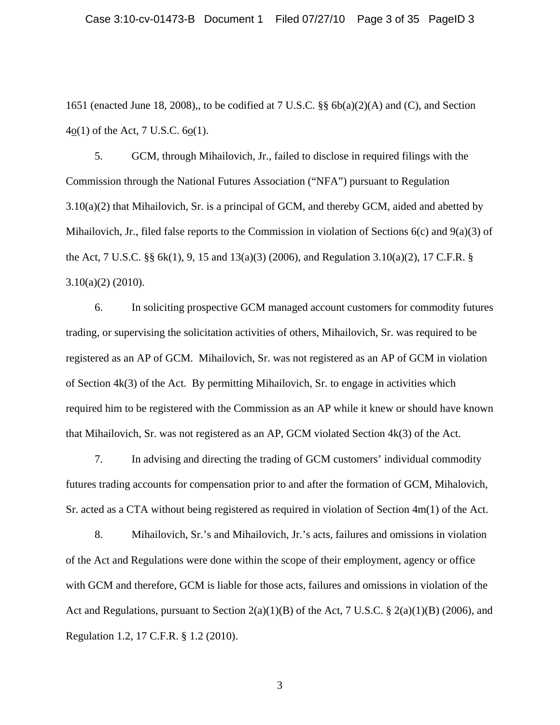1651 (enacted June 18, 2008),, to be codified at 7 U.S.C. §§ 6b(a)(2)(A) and (C), and Section  $4o(1)$  of the Act, 7 U.S.C.  $6o(1)$ .

5. GCM, through Mihailovich, Jr., failed to disclose in required filings with the Commission through the National Futures Association ("NFA") pursuant to Regulation 3.10(a)(2) that Mihailovich, Sr. is a principal of GCM, and thereby GCM, aided and abetted by Mihailovich, Jr., filed false reports to the Commission in violation of Sections  $6(c)$  and  $9(a)(3)$  of the Act, 7 U.S.C. §§ 6k(1), 9, 15 and 13(a)(3) (2006), and Regulation 3.10(a)(2), 17 C.F.R. § 3.10(a)(2) (2010).

6. In soliciting prospective GCM managed account customers for commodity futures trading, or supervising the solicitation activities of others, Mihailovich, Sr. was required to be registered as an AP of GCM. Mihailovich, Sr. was not registered as an AP of GCM in violation of Section 4k(3) of the Act. By permitting Mihailovich, Sr. to engage in activities which required him to be registered with the Commission as an AP while it knew or should have known that Mihailovich, Sr. was not registered as an AP, GCM violated Section 4k(3) of the Act.

7. In advising and directing the trading of GCM customers' individual commodity futures trading accounts for compensation prior to and after the formation of GCM, Mihalovich, Sr. acted as a CTA without being registered as required in violation of Section 4m(1) of the Act.

8. Mihailovich, Sr.'s and Mihailovich, Jr.'s acts, failures and omissions in violation of the Act and Regulations were done within the scope of their employment, agency or office with GCM and therefore, GCM is liable for those acts, failures and omissions in violation of the Act and Regulations, pursuant to Section 2(a)(1)(B) of the Act, 7 U.S.C. § 2(a)(1)(B) (2006), and Regulation 1.2, 17 C.F.R. § 1.2 (2010).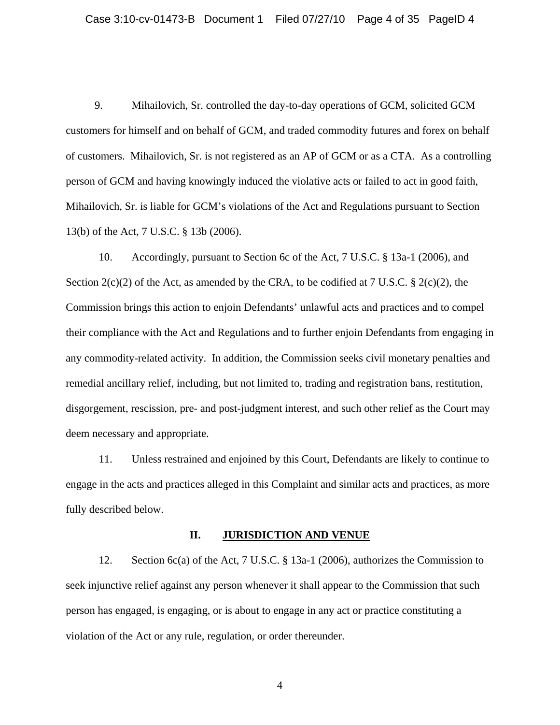9. Mihailovich, Sr. controlled the day-to-day operations of GCM, solicited GCM customers for himself and on behalf of GCM, and traded commodity futures and forex on behalf of customers. Mihailovich, Sr. is not registered as an AP of GCM or as a CTA. As a controlling person of GCM and having knowingly induced the violative acts or failed to act in good faith, Mihailovich, Sr. is liable for GCM's violations of the Act and Regulations pursuant to Section 13(b) of the Act, 7 U.S.C. § 13b (2006).

10. Accordingly, pursuant to Section 6c of the Act, 7 U.S.C. § 13a-1 (2006), and Section  $2(c)(2)$  of the Act, as amended by the CRA, to be codified at 7 U.S.C. §  $2(c)(2)$ , the Commission brings this action to enjoin Defendants' unlawful acts and practices and to compel their compliance with the Act and Regulations and to further enjoin Defendants from engaging in any commodity-related activity. In addition, the Commission seeks civil monetary penalties and remedial ancillary relief, including, but not limited to, trading and registration bans, restitution, disgorgement, rescission, pre- and post-judgment interest, and such other relief as the Court may deem necessary and appropriate.

11. Unless restrained and enjoined by this Court, Defendants are likely to continue to engage in the acts and practices alleged in this Complaint and similar acts and practices, as more fully described below.

#### **II. JURISDICTION AND VENUE**

12. Section 6c(a) of the Act, 7 U.S.C. § 13a-1 (2006), authorizes the Commission to seek injunctive relief against any person whenever it shall appear to the Commission that such person has engaged, is engaging, or is about to engage in any act or practice constituting a violation of the Act or any rule, regulation, or order thereunder.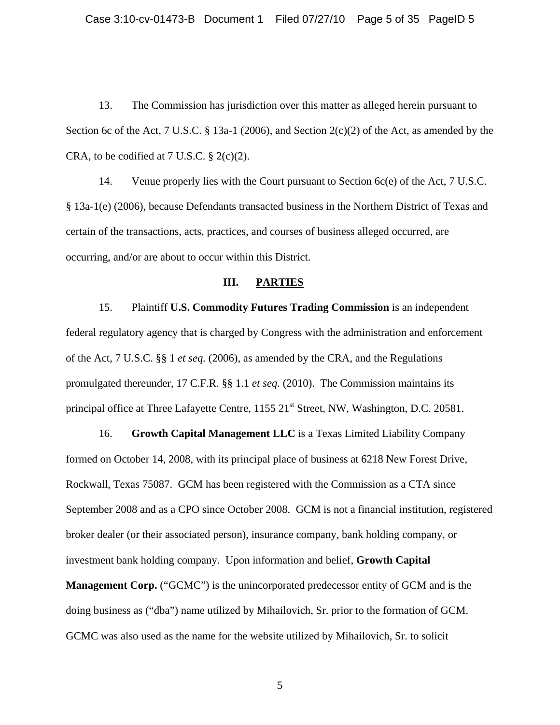Case 3:10-cv-01473-B Document 1 Filed 07/27/10 Page 5 of 35 PageID 5

13. The Commission has jurisdiction over this matter as alleged herein pursuant to Section 6c of the Act, 7 U.S.C. § 13a-1 (2006), and Section 2(c)(2) of the Act, as amended by the CRA, to be codified at 7 U.S.C.  $\S$  2(c)(2).

14. Venue properly lies with the Court pursuant to Section 6c(e) of the Act, 7 U.S*.*C. § 13a-1(e) (2006), because Defendants transacted business in the Northern District of Texas and certain of the transactions, acts, practices, and courses of business alleged occurred, are occurring, and/or are about to occur within this District.

### **III. PARTIES**

15. Plaintiff **U.S. Commodity Futures Trading Commission** is an independent federal regulatory agency that is charged by Congress with the administration and enforcement of the Act, 7 U.S.C. §§ 1 *et seq.* (2006), as amended by the CRA, and the Regulations promulgated thereunder, 17 C.F.R. §§ 1.1 *et seq.* (2010). The Commission maintains its principal office at Three Lafayette Centre, 1155 21<sup>st</sup> Street, NW, Washington, D.C. 20581.

16. **Growth Capital Management LLC** is a Texas Limited Liability Company formed on October 14, 2008, with its principal place of business at 6218 New Forest Drive, Rockwall, Texas 75087. GCM has been registered with the Commission as a CTA since September 2008 and as a CPO since October 2008. GCM is not a financial institution, registered broker dealer (or their associated person), insurance company, bank holding company, or investment bank holding company. Upon information and belief, **Growth Capital** 

**Management Corp.** ("GCMC") is the unincorporated predecessor entity of GCM and is the doing business as ("dba") name utilized by Mihailovich, Sr. prior to the formation of GCM. GCMC was also used as the name for the website utilized by Mihailovich, Sr. to solicit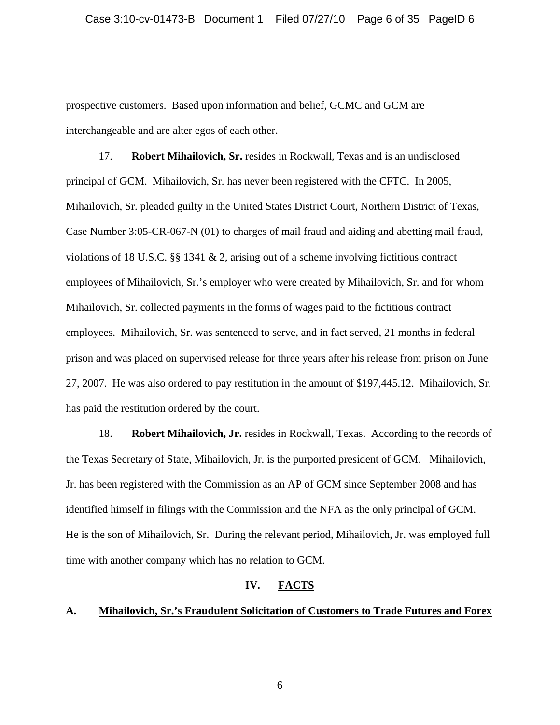prospective customers. Based upon information and belief, GCMC and GCM are interchangeable and are alter egos of each other.

17. **Robert Mihailovich, Sr.** resides in Rockwall, Texas and is an undisclosed principal of GCM. Mihailovich, Sr. has never been registered with the CFTC. In 2005, Mihailovich, Sr. pleaded guilty in the United States District Court, Northern District of Texas, Case Number 3:05-CR-067-N (01) to charges of mail fraud and aiding and abetting mail fraud, violations of 18 U.S.C. §§ 1341 & 2, arising out of a scheme involving fictitious contract employees of Mihailovich, Sr.'s employer who were created by Mihailovich, Sr. and for whom Mihailovich, Sr. collected payments in the forms of wages paid to the fictitious contract employees. Mihailovich, Sr. was sentenced to serve, and in fact served, 21 months in federal prison and was placed on supervised release for three years after his release from prison on June 27, 2007. He was also ordered to pay restitution in the amount of \$197,445.12. Mihailovich, Sr. has paid the restitution ordered by the court.

18. **Robert Mihailovich, Jr.** resides in Rockwall, Texas. According to the records of the Texas Secretary of State, Mihailovich, Jr. is the purported president of GCM. Mihailovich, Jr. has been registered with the Commission as an AP of GCM since September 2008 and has identified himself in filings with the Commission and the NFA as the only principal of GCM. He is the son of Mihailovich, Sr. During the relevant period, Mihailovich, Jr. was employed full time with another company which has no relation to GCM.

## **IV. FACTS**

### **A. Mihailovich, Sr.'s Fraudulent Solicitation of Customers to Trade Futures and Forex**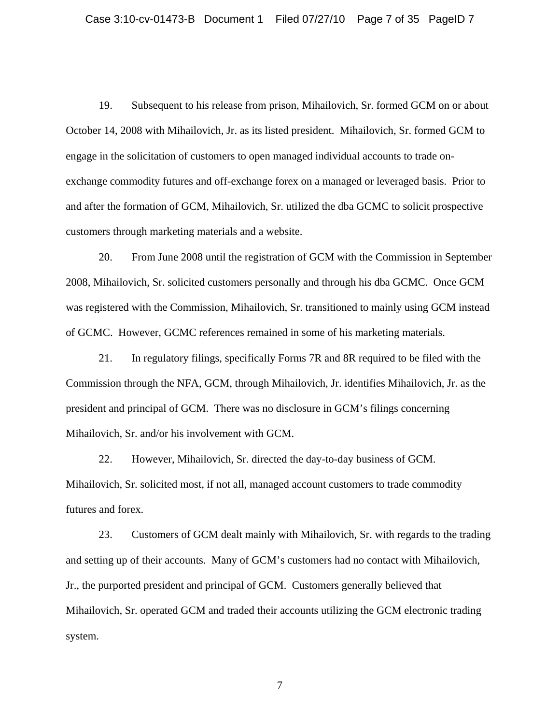19. Subsequent to his release from prison, Mihailovich, Sr. formed GCM on or about October 14, 2008 with Mihailovich, Jr. as its listed president. Mihailovich, Sr. formed GCM to engage in the solicitation of customers to open managed individual accounts to trade onexchange commodity futures and off-exchange forex on a managed or leveraged basis. Prior to and after the formation of GCM, Mihailovich, Sr. utilized the dba GCMC to solicit prospective customers through marketing materials and a website.

20. From June 2008 until the registration of GCM with the Commission in September 2008, Mihailovich, Sr. solicited customers personally and through his dba GCMC. Once GCM was registered with the Commission, Mihailovich, Sr. transitioned to mainly using GCM instead of GCMC. However, GCMC references remained in some of his marketing materials.

21. In regulatory filings, specifically Forms 7R and 8R required to be filed with the Commission through the NFA, GCM, through Mihailovich, Jr. identifies Mihailovich, Jr. as the president and principal of GCM. There was no disclosure in GCM's filings concerning Mihailovich, Sr. and/or his involvement with GCM.

22. However, Mihailovich, Sr. directed the day-to-day business of GCM. Mihailovich, Sr. solicited most, if not all, managed account customers to trade commodity futures and forex.

23. Customers of GCM dealt mainly with Mihailovich, Sr. with regards to the trading and setting up of their accounts. Many of GCM's customers had no contact with Mihailovich, Jr., the purported president and principal of GCM. Customers generally believed that Mihailovich, Sr. operated GCM and traded their accounts utilizing the GCM electronic trading system.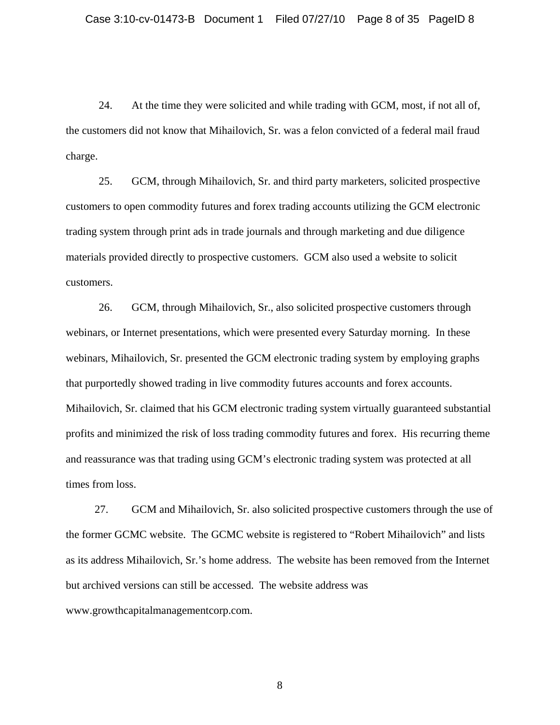24. At the time they were solicited and while trading with GCM, most, if not all of, the customers did not know that Mihailovich, Sr. was a felon convicted of a federal mail fraud charge.

25. GCM, through Mihailovich, Sr. and third party marketers, solicited prospective customers to open commodity futures and forex trading accounts utilizing the GCM electronic trading system through print ads in trade journals and through marketing and due diligence materials provided directly to prospective customers. GCM also used a website to solicit customers.

26. GCM, through Mihailovich, Sr., also solicited prospective customers through webinars, or Internet presentations, which were presented every Saturday morning. In these webinars, Mihailovich, Sr. presented the GCM electronic trading system by employing graphs that purportedly showed trading in live commodity futures accounts and forex accounts. Mihailovich, Sr. claimed that his GCM electronic trading system virtually guaranteed substantial profits and minimized the risk of loss trading commodity futures and forex. His recurring theme and reassurance was that trading using GCM's electronic trading system was protected at all times from loss.

27. GCM and Mihailovich, Sr. also solicited prospective customers through the use of the former GCMC website. The GCMC website is registered to "Robert Mihailovich" and lists as its address Mihailovich, Sr.'s home address. The website has been removed from the Internet but archived versions can still be accessed. The website address was www.growthcapitalmanagementcorp.com.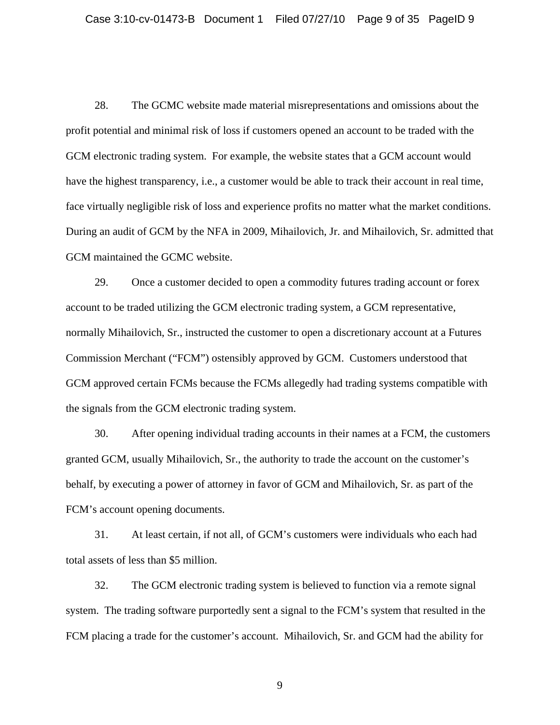28. The GCMC website made material misrepresentations and omissions about the profit potential and minimal risk of loss if customers opened an account to be traded with the GCM electronic trading system. For example, the website states that a GCM account would have the highest transparency, i.e., a customer would be able to track their account in real time, face virtually negligible risk of loss and experience profits no matter what the market conditions. During an audit of GCM by the NFA in 2009, Mihailovich, Jr. and Mihailovich, Sr. admitted that GCM maintained the GCMC website.

29. Once a customer decided to open a commodity futures trading account or forex account to be traded utilizing the GCM electronic trading system, a GCM representative, normally Mihailovich, Sr., instructed the customer to open a discretionary account at a Futures Commission Merchant ("FCM") ostensibly approved by GCM. Customers understood that GCM approved certain FCMs because the FCMs allegedly had trading systems compatible with the signals from the GCM electronic trading system.

30. After opening individual trading accounts in their names at a FCM, the customers granted GCM, usually Mihailovich, Sr., the authority to trade the account on the customer's behalf, by executing a power of attorney in favor of GCM and Mihailovich, Sr. as part of the FCM's account opening documents.

31. At least certain, if not all, of GCM's customers were individuals who each had total assets of less than \$5 million.

32. The GCM electronic trading system is believed to function via a remote signal system. The trading software purportedly sent a signal to the FCM's system that resulted in the FCM placing a trade for the customer's account. Mihailovich, Sr. and GCM had the ability for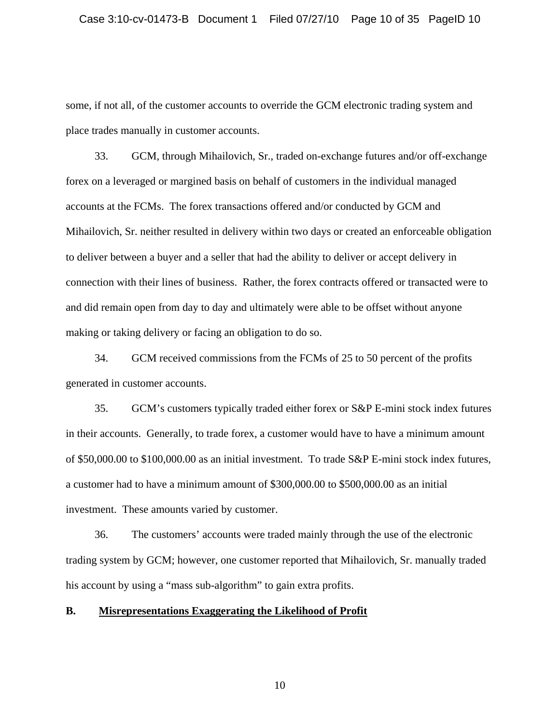some, if not all, of the customer accounts to override the GCM electronic trading system and place trades manually in customer accounts.

33. GCM, through Mihailovich, Sr., traded on-exchange futures and/or off-exchange forex on a leveraged or margined basis on behalf of customers in the individual managed accounts at the FCMs. The forex transactions offered and/or conducted by GCM and Mihailovich, Sr. neither resulted in delivery within two days or created an enforceable obligation to deliver between a buyer and a seller that had the ability to deliver or accept delivery in connection with their lines of business. Rather, the forex contracts offered or transacted were to and did remain open from day to day and ultimately were able to be offset without anyone making or taking delivery or facing an obligation to do so.

34. GCM received commissions from the FCMs of 25 to 50 percent of the profits generated in customer accounts.

35. GCM's customers typically traded either forex or S&P E-mini stock index futures in their accounts. Generally, to trade forex, a customer would have to have a minimum amount of \$50,000.00 to \$100,000.00 as an initial investment. To trade S&P E-mini stock index futures, a customer had to have a minimum amount of \$300,000.00 to \$500,000.00 as an initial investment. These amounts varied by customer.

36. The customers' accounts were traded mainly through the use of the electronic trading system by GCM; however, one customer reported that Mihailovich, Sr. manually traded his account by using a "mass sub-algorithm" to gain extra profits.

## **B. Misrepresentations Exaggerating the Likelihood of Profit**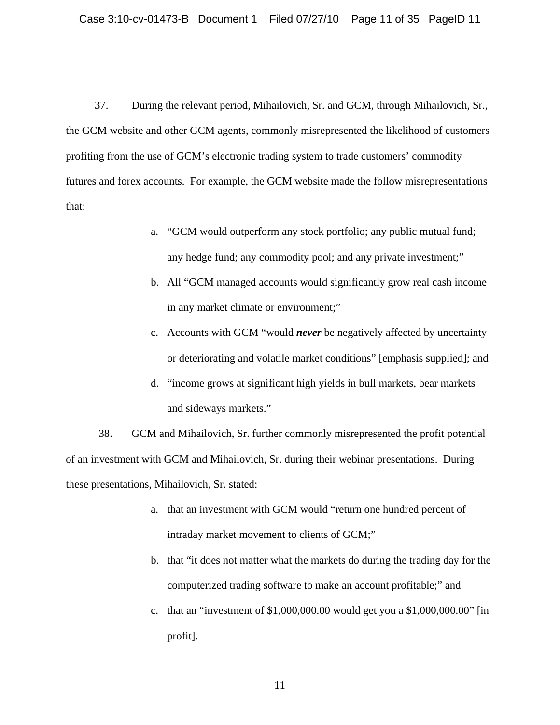37. During the relevant period, Mihailovich, Sr. and GCM, through Mihailovich, Sr., the GCM website and other GCM agents, commonly misrepresented the likelihood of customers profiting from the use of GCM's electronic trading system to trade customers' commodity futures and forex accounts. For example, the GCM website made the follow misrepresentations that:

- a. "GCM would outperform any stock portfolio; any public mutual fund; any hedge fund; any commodity pool; and any private investment;"
- b. All "GCM managed accounts would significantly grow real cash income in any market climate or environment;"
- c. Accounts with GCM "would *never* be negatively affected by uncertain ty or deteriorating and volatile market conditions" [emphasis supplied]; an d
- d. "income grows a t significant high yields in bull markets, bear markets and sideways markets."

38. GCM and Mihailovich, Sr. further commonly misrepresented the profit potential of an investment with GCM and Mihailovich, Sr. during their webinar presentations. During these presentations, Mihailovich, Sr. stated:

- a. that an investment with GCM would "return one hundred percent of intraday market movement to clients of GCM;"
- b. that "it does not matter what the markets do during the trading day for the computerized trading software to make an account profitable;" and
- profit]. c. that an "investment of \$1,000,000.00 would get you a \$1,000,000.00" [in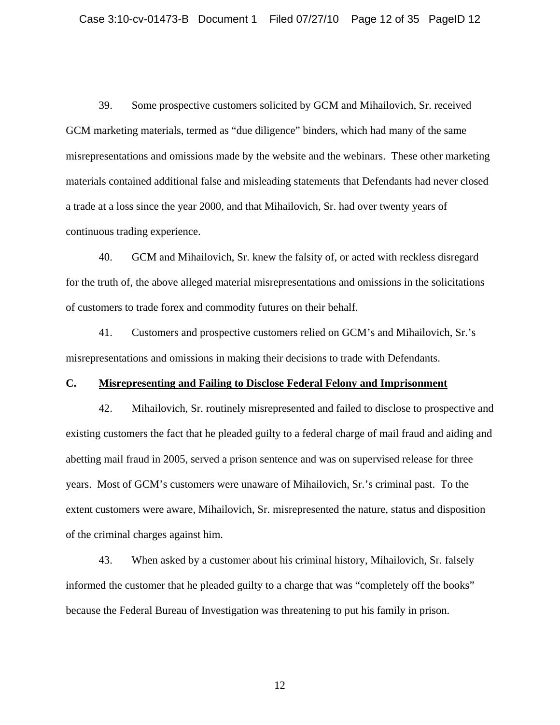39. Some prospective customers solicited by GCM and Mihailovich, Sr. received GCM marketing materials, termed as "due diligence" binders, which had many of the same misrepresentations and omissions made by the website and the webinars. These other marketing materials contained additional false and misleading statements that Defendants had never closed a trade at a loss since the year 2000, and that Mihailovich, Sr. had over twenty years of continuous trading experience.

40. GCM and Mihailovich, Sr. knew the falsity of, or acted with reckless disregard for the truth of, the above alleged material misrepresentations and omissions in the solicitations of customers to trade forex and commodity futures on their behalf.

misrepresentations and omissions in making their decisions to trade with Defendants. 41. Customers and prospective customers relied on GCM's and Mihailovich, Sr.'s

## **C. Misrepresenting and Failing to Disclose Federal Felony and Imprisonment**

42. Mihailovich, Sr. routinely misrepresented and failed to disclose to prospective and existing customers the fact that he pleaded guilty to a federal charge of mail fraud and aiding and extent customers were aware, Mihailovich, Sr. misrepresented the nature, status and disposition abetting mail fraud in 2005, served a prison sentence and was on supervised release for three years. Most of GCM's customers were unaware of Mihailovich, Sr.'s criminal past. To the of the criminal charges against him.

informed the customer that he pleaded guilty to a charge that was "completely off the books" 43. When asked by a customer about his criminal history, Mihailovich, Sr. falsely because the Federal Bureau of Investigation was threatening to put his family in prison.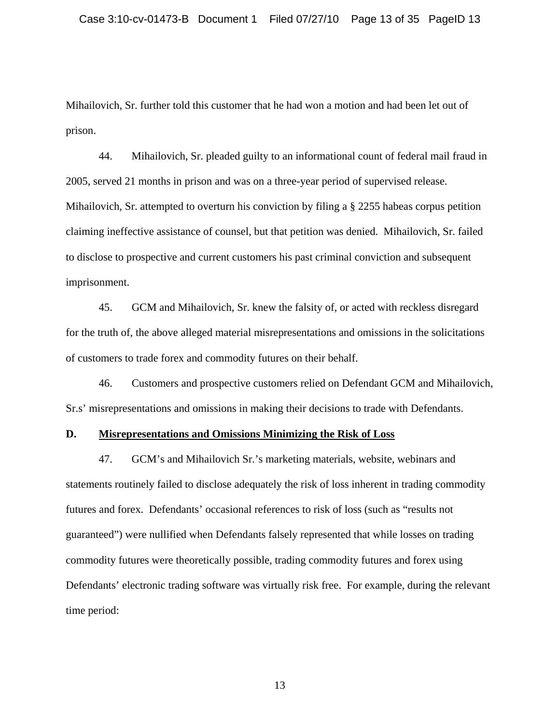Mihailovich, Sr. further told this customer that he had won a motion and had been let out of prison.

44. Mihailovich, Sr. pleaded guilty to an informational count of federal mail fraud in Mihailovich, Sr. attempted to overturn his conviction by filing a § 2255 habeas corpus petition 2005, served 21 months in prison and was on a three-year period of supervised release. claiming ineffective assistance of counsel, but that petition was denied. Mihailovich, Sr. failed to disclose to prospective and current customers his past criminal conviction and subsequent imprisonment.

45. GCM and Mihailovich, Sr. knew the falsity of, or acted with reckless disregard for the truth of, the above alleged material misrepresentations and omissions in the solicitations of customers to trade forex and commodity futures on their behalf.

46. Customers and prospective customers relied on Defendant GCM and Mihailovich, Sr.s' misrepresentations and omissions in making their decisions to trade with Defendants.

## **D. Misrepresentations and Omissions Minimizing the Risk of Loss**

47. GCM's and Mihailovich Sr.'s marketing materials, website, webinars and statements routinely failed to disclose adequately the risk of loss inherent in trading commodity guaranteed") were nullified when Defendants falsely represented that while losses on trading Defendants' electronic trading software was virtually risk free. For example, during the relevant futures and forex. Defendants' occasional references to risk of loss (such as "results not commodity futures were theoretically possible, trading commodity futures and forex using time period: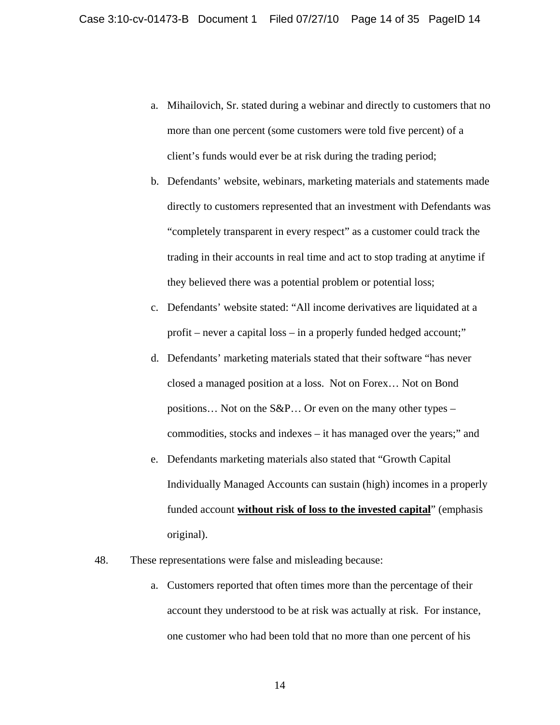- a. Mihailovich, Sr. stated during a webinar and directly to customers that no more than one percent (some customers were told five percent) of a client's funds would ever be at risk during the trading period;
- b. Defendants' website, webinars, marketing materials and statements made directly to customers represented that an investment with Defendants was "completely transparent in every respect" as a customer could track the trading in their accounts in real time and act to stop trading at anytime if they believed there was a potential problem or potential loss;
- c. Defendants' website stated: "All income derivatives are liquidated at a profit – never a capital loss – in a properly funded hedged account;"
- d. Defendants' marketing materials stated that their software "has never closed a managed position at a loss. Not on Forex… Not on Bond positions... Not on the  $S\&P...$  Or even on the many other types – commodities, stocks and indexes – it has managed over the years;" and
- e. Defendants marketing materials also stated that "Growth Capital Individually Managed Accounts can sustain (high) incomes in a properly funded account **without risk of loss to the invested capital**" (emphasis original).
- 48. These representations were false and misleading because:
	- a. Customers reported that often times more than the percentage of their account they understood to be at risk was actually at risk. For instan ce, one customer who had been told that no more than one percent of his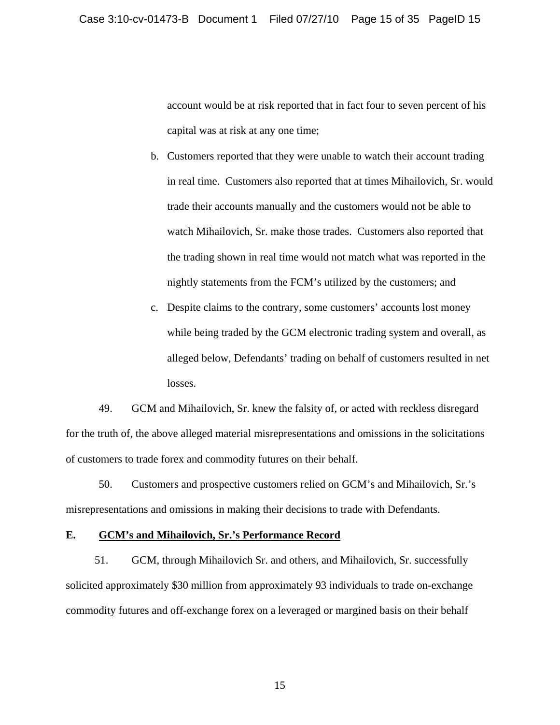account would be at risk reported that in fact four to seven percent of his capital was at risk at any one time;

- b. Customers reported that they were unable to watch their account trading in real time. Customers also reported that at times Mihailovich, Sr. woul d trade their accounts manually and the customers would not be able to watch Mihailovich, Sr. make those trades. Customers also reported that the trading shown in real time would not match what was reported in the nightly statements from the FCM's utilized by the customers; and
- c. Despite claims t o the contrary, some customers' accounts lost money while being traded by the GCM electronic trading system and overall, as alleged below, Defendants' trading on behalf of customers resulted in net losses.

49. GCM and Mihailovich, Sr. knew the falsity of, or acted with reckless disregard for the truth of, the above alleged material misrepresentations and omissions in the solicitations of customers to trade forex and commodity futures on their behalf.

50. Customers and prospective customers relied on GCM's and Mihailovich, Sr.'s misrepresentations and omissions in making their decisions to trade with Defendants.

#### **E. GCM's and Mihailovich, Sr.'s Performance Record**

51. GCM, through Mihailovich Sr. and others, and Mihailovich, Sr. successfully solicited approximately \$30 million from approximately 93 individuals to trade on-exchange commodity futures and off-exchange forex on a leveraged or margined basis on their behalf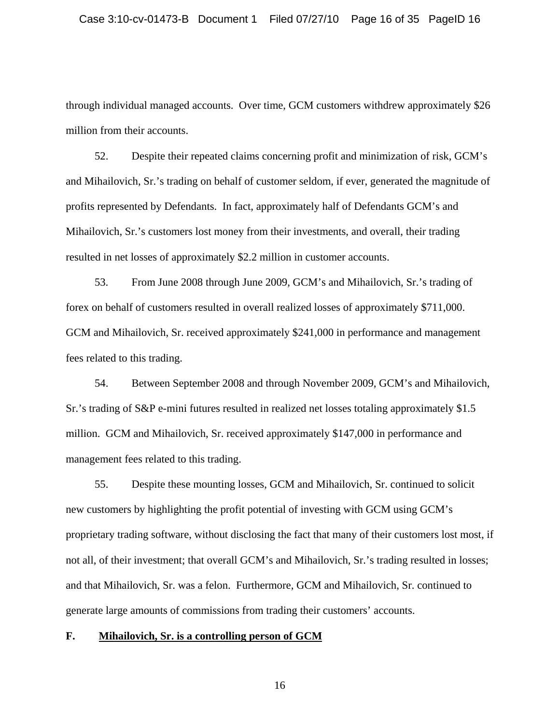through individual managed accounts. Over time, GCM customers withdrew approximately \$26 million from their accounts.

52. Despite their repeated claims concerning profit and minimization of risk, GCM's and Mihailovich, Sr.'s trading on behalf of customer seldom, if ever, generated the magnitude of profits represented by Defendants. In fact, approximately half of Defendants GCM's and Mihailovich, Sr.'s customers lost money from their investments, and overall, their trading resulted in net losses of approximately \$2.2 million in customer accounts.

53. From June 2008 through June 2009, GCM's and Mihailovich, Sr.'s trading of forex on behalf of customers resulted in overall realized losses of approximately \$711,000. GCM and Mihailovich, Sr. received approximately \$241,000 in performance and management fees related to this trading.

54. Between September 2008 and through November 2009, GCM's and Mihailovich, Sr.'s trading of S&P e-mini futures resulted in realized net losses totaling approximately \$1.5 million. GCM and Mihailovich, Sr. received approximately \$147,000 in performance and management fees related to this trading.

55. Despite these mounting losses, GCM and Mihailovich, Sr. continued to solicit new customers by highlighting the profit potential of investing with GCM using GCM's proprietary trading software, without disclosing the fact that many of their customers lost most, if not all, of their investment; that overall GCM's and Mihailovich, Sr.'s trading resulted in losses; and that Mihailovich, Sr. was a felon. Furthermore, GCM and Mihailovich, Sr. continued to generate large amounts of commissions from trading their customers' accounts.

#### **F. Mihailovich, Sr. is a controlling person of GCM**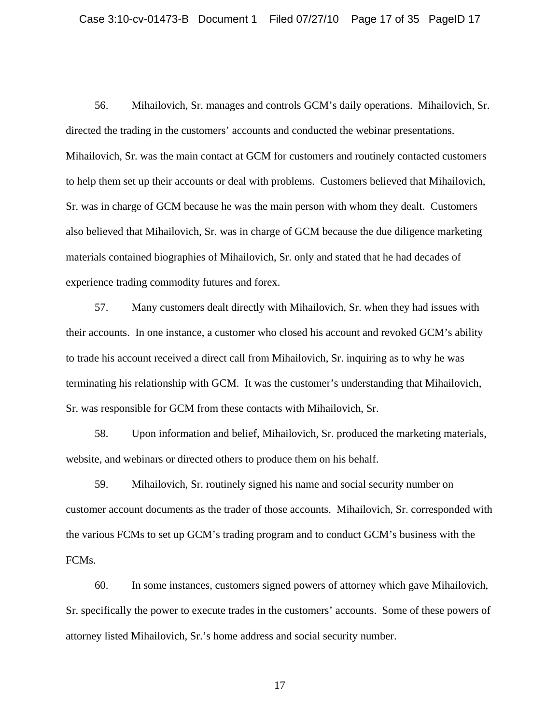56. Mihailovich, Sr. manages and controls GCM's daily operations. Mihailovich, Sr. directed the trading in the customers' accounts and conducted the webinar presentations. Mihailovich, Sr. was the main contact at GCM for customers and routinely contacted customers to help them set up their accounts or deal with problems. Customers believed that Mihailovich, Sr. was in charge of GCM because he was the main person with whom they dealt. Customers also believed that Mihailovich, Sr. was in charge of GCM because the due diligence marketing materials contained biographies of Mihailovich, Sr. only and stated that he had decades of experience trading commodity futures and forex.

57. Many customers dealt directly with Mihailovich, Sr. when they had issues with their accounts. In one instance, a customer who closed his account and revoked GCM's ability to trade his account received a direct call from Mihailovich, Sr. inquiring as to why he was terminating his relationship with GCM. It was the customer's understanding that Mihailovich, Sr. was responsible for GCM from these contacts with Mihailovich, Sr.

58. Upon information and belief, Mihailovich, Sr. produced the marketing materials, website, and webinars or directed others to produce them on his behalf.

59. Mihailovich, Sr. routinely signed his name and social security number on customer account documents as the trader of those accounts. Mihailovich, Sr. corresponded with the various FCMs to set up GCM's trading program and to conduct GCM's business with the FCMs.

60. In some instances, customers signed powers of attorney which gave Mihailovich, Sr. specifically the power to execute trades in the customers' accounts. Some of these powers of attorney listed Mihailovich, Sr.'s home address and social security number.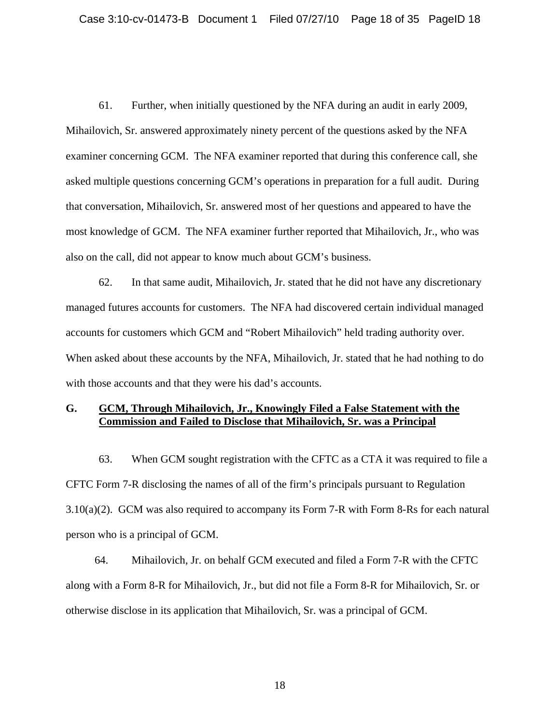61. Further, when initially questioned by the NFA during an audit in early 2009, Mihailovich, Sr. answered approximately ninety percent of the questions asked by the NFA examiner concerning GCM. The NFA examiner reported that during this conference call, she asked multiple questions concerning GCM's operations in preparation for a full audit. During that conversation, Mihailovich, Sr. answered most of her questions and appeared to have the most knowledge of GCM. The NFA examiner further reported that Mihailovich, Jr., who was also on the call, did not appear to know much about GCM's business.

62. In that same audit, Mihailovich, Jr. stated that he did not have any discretionary managed futures accounts for customers. The NFA had discovered certain individual managed accounts for customers which GCM and "Robert Mihailovich" held trading authority over. When asked about these accounts by the NFA, Mihailovich, Jr. stated that he had nothing to do with those accounts and that they were his dad's accounts.

## **G. GCM, Through Mihailovich, Jr., Knowingly Filed a False Statement with the Commission and Failed to Disclose that Mihailovich, Sr. was a Principal**

63. When GCM sought registration with the CFTC as a CTA it was required to file a CFTC Form 7-R disclosing the names of all of the firm's principals pursuant to Regulation 3.10(a)(2). GCM was also required to accompany its Form 7-R with Form 8-Rs for each natural person who is a principal of GCM.

64. Mihailovich, Jr. on behalf GCM executed and filed a Form 7-R with the CFTC along with a Form 8-R for Mihailovich, Jr., but did not file a Form 8-R for Mihailovich, Sr. or otherwise disclose in its application that Mihailovich, Sr. was a principal of GCM.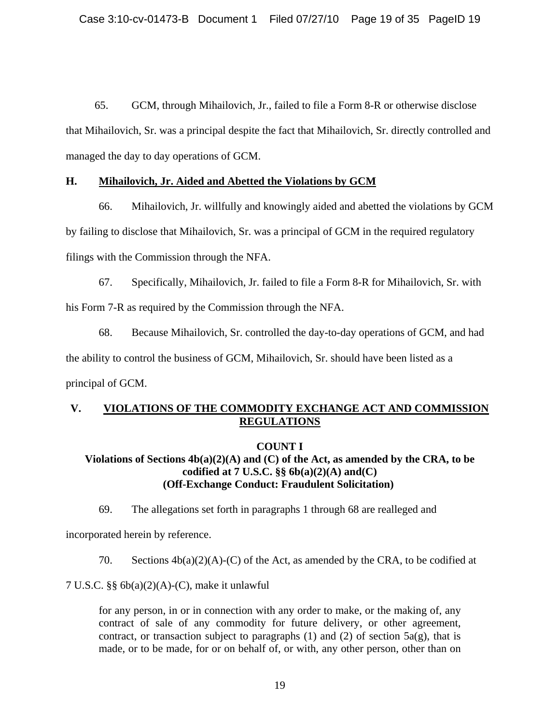65. GCM, through Mihailovich, Jr., failed to file a Form 8-R or otherwise disclose that Mihailovich, Sr. was a principal despite the fact that Mihailovich, Sr. directly controlled and managed the day to day operations of GCM.

## **H. Mihailovich, Jr. Aided and Abetted the Violations by GCM**

66. Mihailovich, Jr. willfully and knowingly aided and abetted the violations by GCM by failing to disclose that Mihailovich, Sr. was a principal of GCM in the required regulatory filings with the Commission through the NFA.

67. Specifically, Mihailovich, Jr. failed to file a Form 8-R for Mihailovich, Sr. with his Form 7-R as required by the Commission through the NFA.

68. Because Mihailovich, Sr. controlled the day-to-day operations of GCM, and had the ability to control the business of GCM, Mihailovich, Sr. should have been listed as a principal of GCM.

## **V. VIOLATIONS OF THE COMMODITY EXCHANGE ACT AND COMMISSION REGULATIONS**

## **COUNT I**

## **Violations of Sections 4b(a)(2)(A) and (C) of the Act, as amended by the CRA, to be codified at 7 U.S.C. §§ 6b(a)(2)(A) and(C) (Off-Exchange Conduct: Fraudulent Solicitation)**

69. The allegations set forth in paragraphs 1 through 68 are realleged and

incorporated herein by reference.

70. Sections  $4b(a)(2)(A)-(C)$  of the Act, as amended by the CRA, to be codified at

7 U.S.C. §§ 6b(a)(2)(A)-(C), make it unlawful

for any person, in or in connection with any order to make, or the making of, any contract of sale of any commodity for future delivery, or other agreement, contract, or transaction subject to paragraphs (1) and (2) of section  $5a(g)$ , that is made, or to be made, for or on behalf of, or with, any other person, other than on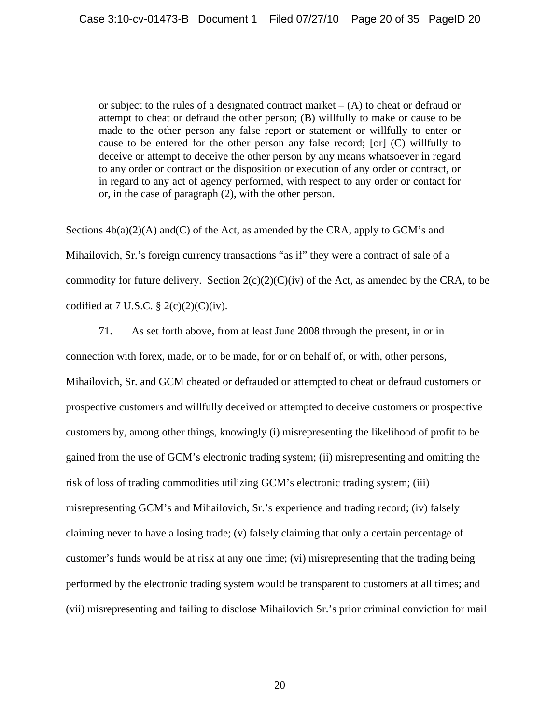or subject to the rules of a designated contract market  $- (A)$  to cheat or defraud or attempt to cheat or defraud the other person; (B) willfully to make or cause to be made to the other person any false report or statement or willfully to enter or cause to be entered for the other person any false record; [or] (C) willfully to deceive or attempt to deceive the other person by any means whatsoever in regard to any order or contract or the disposition or execution of any order or contract, or in regard to any act of agency performed, with respect to any order or contact for or, in the case of paragraph (2), with the other person.

Sections  $4b(a)(2)(A)$  and (C) of the Act, as amended by the CRA, apply to GCM's and Mihailovich, Sr.'s foreign currency transactions "as if" they were a contract of sale of a commodity for future delivery. Section  $2(c)(2)(C)(iv)$  of the Act, as amended by the CRA, to be codified at 7 U.S.C.  $\S 2(c)(2)(C)(iv)$ .

71. As set forth above, from at least June 2008 through the present, in or in connection with forex, made, or to be made, for or on behalf of, or with, other persons, Mihailovich, Sr. and GCM cheated or defrauded or attempted to cheat or defraud customers or prospective customers and willfully deceived or attempted to deceive customers or prospective customers by, among other things, knowingly (i) misrepresenting the likelihood of profit to be gained from the use of GCM's electronic trading system; (ii) misrepresenting and omitting the risk of loss of trading commodities utilizing GCM's electronic trading system; (iii) misrepresenting GCM's and Mihailovich, Sr.'s experience and trading record; (iv) falsely claiming never to have a losing trade; (v) falsely claiming that only a certain percentage of customer's funds would be at risk at any one time; (vi) misrepresenting that the trading being performed by the electronic trading system would be transparent to customers at all times; and (vii) misrepresenting and failing to disclose Mihailovich Sr.'s prior criminal conviction for mail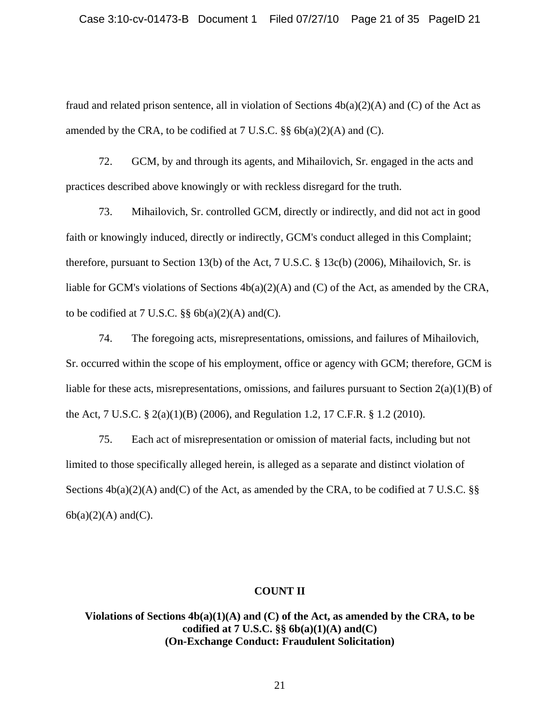fraud and related prison sentence, all in violation of Sections  $4b(a)(2)(A)$  and (C) of the Act as amended by the CRA, to be codified at  $7 \text{ U.S.C. }$   $\S\S 66(a)(2)(A)$  and (C).

72. GCM, by and through its agents, and Mihailovich, Sr. engaged in the acts and practices described above knowingly or with reckless disregard for the truth.

73. Mihailovich, Sr. controlled GCM, directly or indirectly, and did not act in good faith or knowingly induced, directly or indirectly, GCM's conduct alleged in this Complaint; therefore, pursuant to Section 13(b) of the Act, 7 U.S.C. § 13c(b) (2006), Mihailovich, Sr. is liable for GCM's violations of Sections 4b(a)(2)(A) and (C) of the Act, as amended by the CRA, to be codified at 7 U.S.C.  $\S\S 6b(a)(2)(A)$  and (C).

74. The foregoing acts, misrepresentations, omissions, and failures of Mihailovich, Sr. occurred within the scope of his employment, office or agency with GCM; therefore, GCM is liable for these acts, misrepresentations, omissions, and failures pursuant to Section  $2(a)(1)(B)$  of the Act, 7 U.S.C. § 2(a)(1)(B) (2006), and Regulation 1.2, 17 C.F.R. § 1.2 (2010).

75. Each act of misrepresentation or omission of material facts, including but not limited to those specifically alleged herein, is alleged as a separate and distinct violation of Sections  $4b(a)(2)(A)$  and (C) of the Act, as amended by the CRA, to be codified at 7 U.S.C. §§  $6b(a)(2)(A)$  and $(C)$ .

#### **COUNT II**

**Violations of Sections 4b(a)(1)(A) and (C) of the Act, as amended by the CRA, to be codified at 7 U.S.C. §§ 6b(a)(1)(A) and(C) (On-Exchange Conduct: Fraudulent Solicitation)**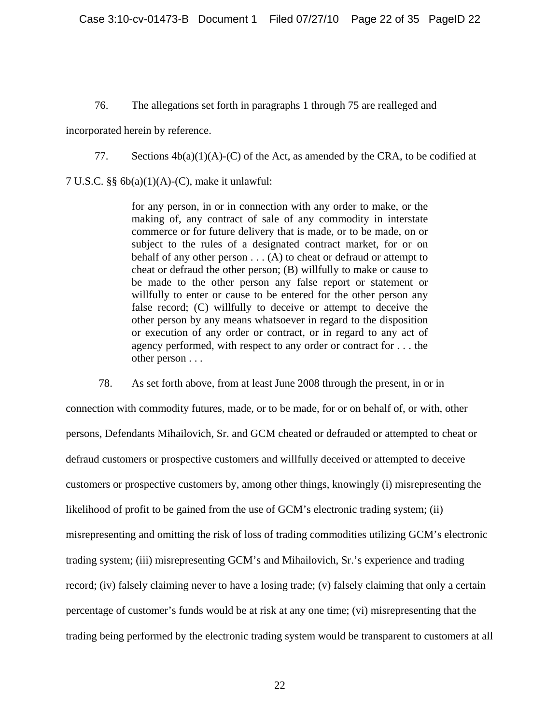## 76. The allegations set forth in paragraphs 1 through 75 are realleged and

incorporated herein by reference.

77. Sections  $4b(a)(1)(A)-(C)$  of the Act, as amended by the CRA, to be codified at

7 U.S.C. §§ 6b(a)(1)(A)-(C), make it unlawful:

for any person, in or in connection with any order to make, or the making of, any contract of sale of any commodity in interstate commerce or for future delivery that is made, or to be made, on or subject to the rules of a designated contract market, for or on behalf of any other person  $\dots$  (A) to cheat or defraud or attempt to cheat or defraud the other person; (B) willfully to make or cause to be made to the other person any false report or statement or willfully to enter or cause to be entered for the other person any false record; (C) willfully to deceive or attempt to deceive the other person by any means whatsoever in regard to the disposition or execution of any order or contract, or in regard to any act of agency performed, with respect to any order or contract for . . . the other person . . .

78. As set forth above, from at least June 2008 through the present, in or in connection with commodity futures, made, or to be made, for or on behalf of, or with, other persons, Defendants Mihailovich, Sr. and GCM cheated or defrauded or attempted to cheat or defraud customers or prospective customers and willfully deceived or attempted to deceive customers or prospective customers by, among other things, knowingly (i) misrepresenting the likelihood of profit to be gained from the use of GCM's electronic trading system; (ii) misrepresenting and omitting the risk of loss of trading commodities utilizing GCM's electronic trading system; (iii) misrepresenting GCM's and Mihailovich, Sr.'s experience and trading record; (iv) falsely claiming never to have a losing trade; (v) falsely claiming that only a certain percentage of customer's funds would be at risk at any one time; (vi) misrepresenting that the trading being performed by the electronic trading system would be transparent to customers at all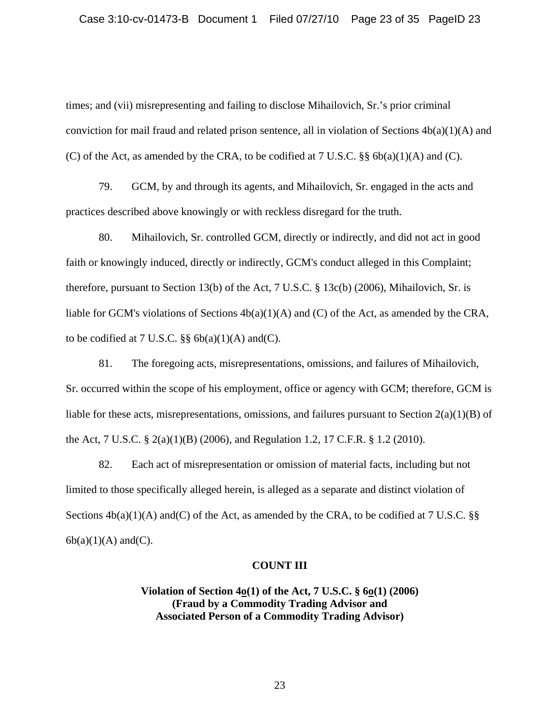times; and (vii) misrepresenting and failing to disclose Mihailovich, Sr.'s prior criminal conviction for mail fraud and related prison sentence, all in violation of Sections  $4b(a)(1)(A)$  and (C) of the Act, as amended by the CRA, to be codified at  $7 \text{ U.S.C. }$  §§  $6b(a)(1)(A)$  and (C).

79. GCM, by and through its agents, and Mihailovich, Sr. engaged in the acts and practices described above knowingly or with reckless disregard for the truth.

80. Mihailovich, Sr. controlled GCM, directly or indirectly, and did not act in good faith or knowingly induced, directly or indirectly, GCM's conduct alleged in this Complaint; therefore, pursuant to Section 13(b) of the Act, 7 U.S.C. § 13c(b) (2006), Mihailovich, Sr. is liable for GCM's violations of Sections  $4b(a)(1)(A)$  and (C) of the Act, as amended by the CRA, to be codified at 7 U.S.C.  $\S$ § 6b(a)(1)(A) and(C).

81. The foregoing acts, misrepresentations, omissions, and failures of Mihailovich, Sr. occurred within the scope of his employment, office or agency with GCM; therefore, GCM is liable for these acts, misrepresentations, omissions, and failures pursuant to Section 2(a)(1)(B) of the Act, 7 U.S.C. § 2(a)(1)(B) (2006), and Regulation 1.2, 17 C.F.R. § 1.2 (2010).

82. Each act of misrepresentation or omission of material facts, including but not limited to those specifically alleged herein, is alleged as a separate and distinct violation of Sections  $4b(a)(1)(A)$  and (C) of the Act, as amended by the CRA, to be codified at 7 U.S.C. §§  $6b(a)(1)(A)$  and $(C)$ .

## **COUNT III**

**Violation of Section 4o(1) of the Act, 7 U.S.C. § 6o(1) (2006) (Fraud by a Commodity Trading Advisor and Associated Person of a Commodity Trading Advisor)**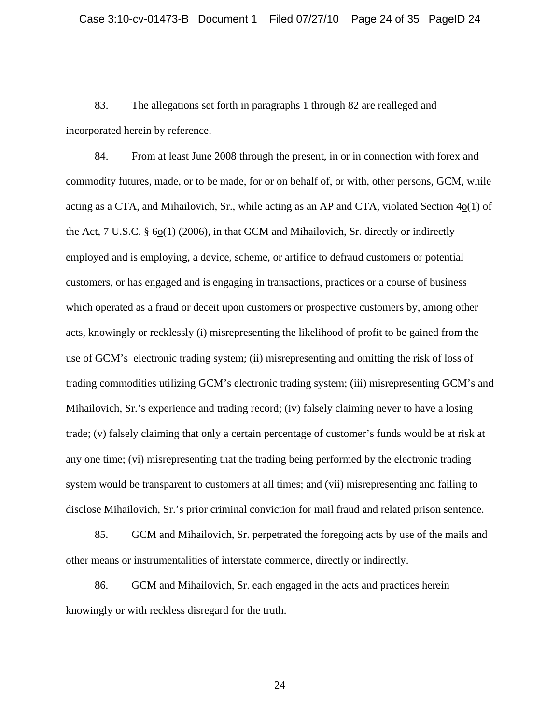83. The allegations set forth in paragraphs 1 through 82 are realleged and incorporated herein by reference.

84. From at least June 2008 through the present, in or in connection with forex and commodity futures, made, or to be made, for or on behalf of, or with, other persons, GCM, while acting as a CTA, and Mihailovich, Sr., while acting as an AP and CTA, violated Section  $4<sub>0</sub>(1)$  of the Act, 7 U.S.C. § 6o(1) (2006), in that GCM and Mihailovich, Sr. directly or indirectly employed and is employing, a device, scheme, or artifice to defraud customers or potential customers, or has engaged and is engaging in transactions, practices or a course of business which operated as a fraud or deceit upon customers or prospective customers by, among other acts, knowingly or recklessly (i) misrepresenting the likelihood of profit to be gained from the use of GCM's electronic trading system; (ii) misrepresenting and omitting the risk of loss of trading commodities utilizing GCM's electronic trading system; (iii) misrepresenting GCM's and Mihailovich, Sr.'s experience and trading record; (iv) falsely claiming never to have a losing trade; (v) falsely claiming that only a certain percentage of customer's funds would be at risk at any one time; (vi) misrepresenting that the trading being performed by the electronic trading system would be transparent to customers at all times; and (vii) misrepresenting and failing to disclose Mihailovich, Sr.'s prior criminal conviction for mail fraud and related prison sentence.

85. GCM and Mihailovich, Sr. perpetrated the foregoing acts by use of the mails and other means or instrumentalities of interstate commerce, directly or indirectly.

86. GCM and Mihailovich, Sr. each engaged in the acts and practices herein knowingly or with reckless disregard for the truth.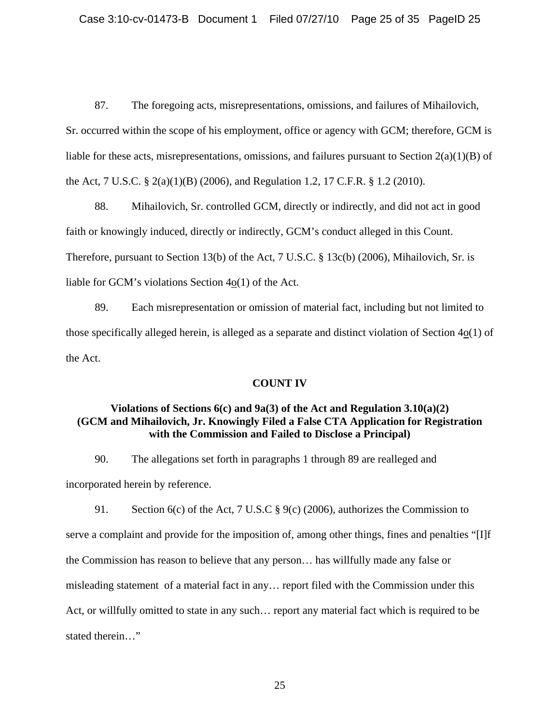87. The foregoing acts, misrepresentations, omissions, and failures of Mihailovich,

Sr. occurred within the scope of his employment, office or agency with GCM; therefore, GCM is liable for these acts, misrepresentations, omissions, and failures pursuant to Section 2(a)(1)(B) of the Act, 7 U.S.C. § 2(a)(1)(B) (2006), and Regulation 1.2, 17 C.F.R. § 1.2 (2010).

88. Mihailovich, Sr. controlled GCM, directly or indirectly, and did not act in good faith or knowingly induced, directly or indirectly, GCM's conduct alleged in this Count. Therefore, pursuant to Section 13(b) of the Act, 7 U.S.C. § 13c(b) (2006), Mihailovich, Sr. is liable for GCM's violations Section 4o(1) of the Act.

89. Each misrepresentation or omission of material fact, including but not limited to those specifically alleged herein, is alleged as a separate and distinct violation of Section 4o(1) of the Act.

## **COUNT IV**

## **Violations of Sections 6(c) and 9a(3) of the Act and Regulation 3.10(a)(2) (GCM and Mihailovich, Jr. Knowingly Filed a False CTA Application for Registration with the Commission and Failed to Disclose a Principal)**

90. The allegations set forth in paragraphs 1 through 89 are realleged and incorporated herein by reference.

91. Section 6(c) of the Act, 7 U.S.C § 9(c) (2006), authorizes the Commission to serve a complaint and provide for the imposition of, among other things, fines and penalties "[I]f the Commission has reason to believe that any person… has willfully made any false or misleading statement of a material fact in any… report filed with the Commission under this Act, or willfully omitted to state in any such… report any material fact which is required to be stated therein…"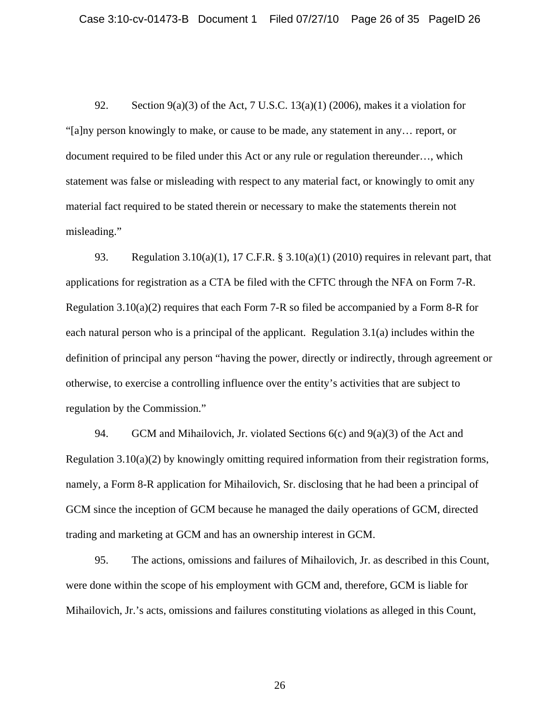92. Section  $9(a)(3)$  of the Act, 7 U.S.C. 13(a)(1) (2006), makes it a violation for "[a]ny person knowingly to make, or cause to be made, any statement in any… report, or document required to be filed under this Act or any rule or regulation thereunder…, which statement was false or misleading with respect to any material fact, or knowingly to omit any material fact required to be stated therein or necessary to make the statements therein not misleading."

93. Regulation 3.10(a)(1), 17 C.F.R. § 3.10(a)(1) (2010) requires in relevant part, that applications for registration as a CTA be filed with the CFTC through the NFA on Form 7-R. Regulation 3.10(a)(2) requires that each Form 7-R so filed be accompanied by a Form 8-R for each natural person who is a principal of the applicant. Regulation 3.1(a) includes within the definition of principal any person "having the power, directly or indirectly, through agreement or otherwise, to exercise a controlling influence over the entity's activities that are subject to regulation by the Commission."

94. GCM and Mihailovich, Jr. violated Sections  $6(c)$  and  $9(a)(3)$  of the Act and Regulation  $3.10(a)(2)$  by knowingly omitting required information from their registration forms, namely, a Form 8-R application for Mihailovich, Sr. disclosing that he had been a principal of GCM since the inception of GCM because he managed the daily operations of GCM, directed trading and marketing at GCM and has an ownership interest in GCM.

95. The actions, omissions and failures of Mihailovich, Jr. as described in this Count, were done within the scope of his employment with GCM and, therefore, GCM is liable for Mihailovich, Jr.'s acts, omissions and failures constituting violations as alleged in this Count,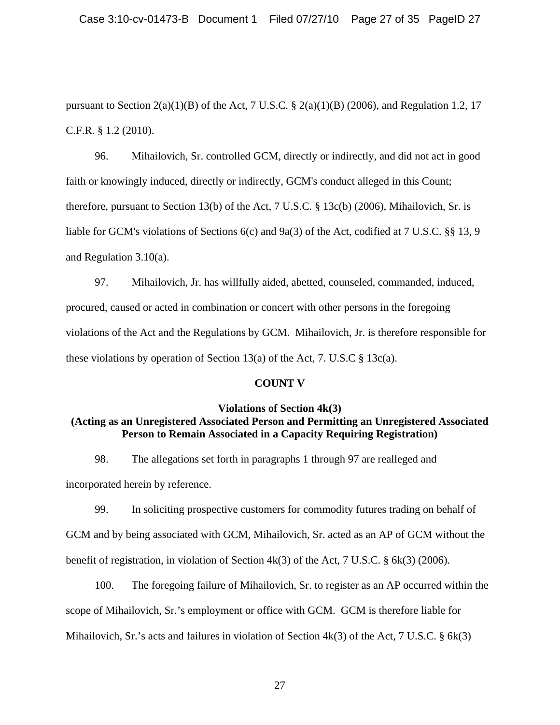pursuant to Section 2(a)(1)(B) of the Act, 7 U.S.C. § 2(a)(1)(B) (2006), and Regulation 1.2, 17 C.F.R. § 1.2 (2010).

96. Mihailovich, Sr. controlled GCM, directly or indirectly, and did not act in good faith or knowingly induced, directly or indirectly, GCM's conduct alleged in this Count; therefore, pursuant to Section 13(b) of the Act, 7 U.S.C. § 13c(b) (2006), Mihailovich, Sr. is liable for GCM's violations of Sections 6(c) and 9a(3) of the Act, codified at 7 U.S.C. §§ 13, 9 and Regulation 3.10(a).

97. Mihailovich, Jr. has willfully aided, abetted, counseled, commanded, induced, procured, caused or acted in combination or concert with other persons in the foregoing violations of the Act and the Regulations by GCM. Mihailovich, Jr. is therefore responsible for these violations by operation of Section 13(a) of the Act, 7. U.S.C  $\S$  13c(a).

## **COUNT V**

## **Violations of Section 4k(3) (Acting as an Unregistered Associated Person and Permitting an Unregistered Associated Person to Remain Associated in a Capacity Requiring Registration)**

98. The allegations set forth in paragraphs 1 through 97 are realleged and incorporated herein by reference.

99. In soliciting prospective customers for commodity futures trading on behalf of GCM and by being associated with GCM, Mihailovich, Sr. acted as an AP of GCM without the benefit of regi**s**tration, in violation of Section 4k(3) of the Act, 7 U.S.C. § 6k(3) (2006).

100. The foregoing failure of Mihailovich, Sr. to register as an AP occurred within the scope of Mihailovich, Sr.'s employment or office with GCM. GCM is therefore liable for Mihailovich, Sr.'s acts and failures in violation of Section 4k(3) of the Act, 7 U.S.C. § 6k(3)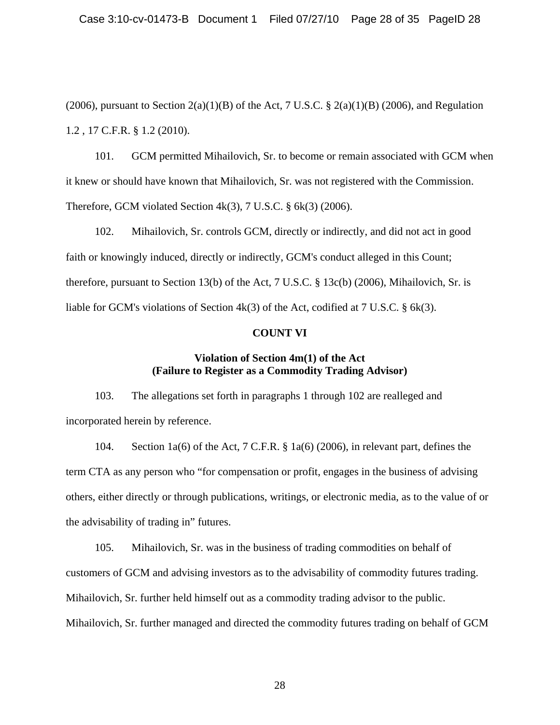(2006), pursuant to Section  $2(a)(1)(B)$  of the Act, 7 U.S.C. §  $2(a)(1)(B)$  (2006), and Regulation 1.2 , 17 C.F.R. § 1.2 (2010).

101. GCM permitted Mihailovich, Sr. to become or remain associated with GCM when it knew or should have known that Mihailovich, Sr. was not registered with the Commission. Therefore, GCM violated Section 4k(3), 7 U.S.C. § 6k(3) (2006).

102. Mihailovich, Sr. controls GCM, directly or indirectly, and did not act in good faith or knowingly induced, directly or indirectly, GCM's conduct alleged in this Count; therefore, pursuant to Section 13(b) of the Act, 7 U.S.C. § 13c(b) (2006), Mihailovich, Sr. is liable for GCM's violations of Section  $4k(3)$  of the Act, codified at 7 U.S.C. § 6k(3).

## **COUNT VI**

## **Violation of Section 4m(1) of the Act (Failure to Register as a Commodity Trading Advisor)**

103. The allegations set forth in paragraphs 1 through 102 are realleged and incorporated herein by reference.

104. Section 1a(6) of the Act, 7 C.F.R. § 1a(6) (2006), in relevant part, defines the term CTA as any person who "for compensation or profit, engages in the business of advising others, either directly or through publications, writings, or electronic media, as to the value of or the advisability of trading in" futures.

105. Mihailovich, Sr. was in the business of trading commodities on behalf of customers of GCM and advising investors as to the advisability of commodity futures trading. Mihailovich, Sr. further held himself out as a commodity trading advisor to the public. Mihailovich, Sr. further managed and directed the commodity futures trading on behalf of GCM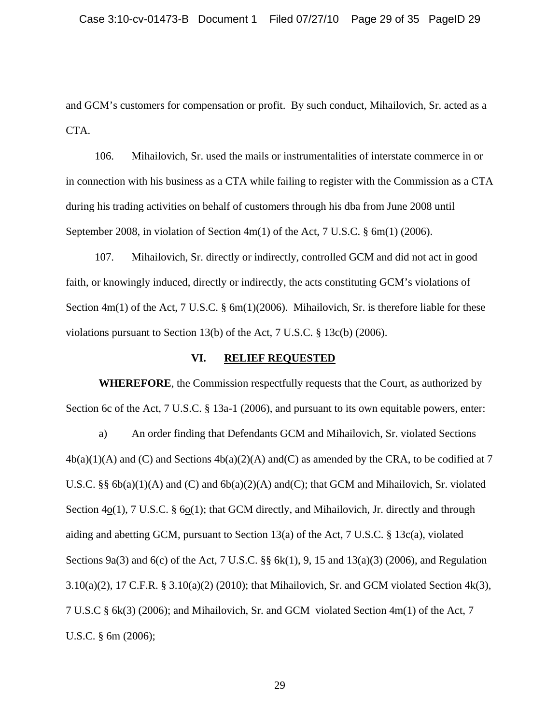and GCM's customers for compensation or profit. By such conduct, Mihailovich, Sr. acted as a CTA.

106. Mihailovich, Sr. used the mails or instrumentalities of interstate commerce in or in connection with his business as a CTA while failing to register with the Commission as a CTA during his trading activities on behalf of customers through his dba from June 2008 until September 2008, in violation of Section 4m(1) of the Act, 7 U.S.C. § 6m(1) (2006).

107. Mihailovich, Sr. directly or indirectly, controlled GCM and did not act in good faith, or knowingly induced, directly or indirectly, the acts constituting GCM's violations of Section 4m(1) of the Act, 7 U.S.C. § 6m(1)(2006). Mihailovich, Sr. is therefore liable for these violations pursuant to Section 13(b) of the Act, 7 U.S.C. § 13c(b) (2006).

## **VI. RELIEF REQUESTED**

 **WHEREFORE**, the Commission respectfully requests that the Court, as authorized by Section 6c of the Act, 7 U.S.C. § 13a-1 (2006), and pursuant to its own equitable powers, enter:

a) An order finding that Defendants GCM and Mihailovich, Sr. violated Sections  $4b(a)(1)(A)$  and (C) and Sections  $4b(a)(2)(A)$  and (C) as amended by the CRA, to be codified at 7 U.S.C. §§ 6b(a)(1)(A) and (C) and 6b(a)(2)(A) and(C); that GCM and Mihailovich, Sr. violated Section 4o(1), 7 U.S.C. § 6o(1); that GCM directly, and Mihailovich, Jr. directly and through aiding and abetting GCM, pursuant to Section 13(a) of the Act, 7 U.S.C. § 13c(a), violated Sections 9a(3) and 6(c) of the Act, 7 U.S.C. §§ 6k(1), 9, 15 and 13(a)(3) (2006), and Regulation 3.10(a)(2), 17 C.F.R. § 3.10(a)(2) (2010); that Mihailovich, Sr. and GCM violated Section 4k(3), 7 U.S.C § 6k(3) (2006); and Mihailovich, Sr. and GCM violated Section 4m(1) of the Act, 7 U.S.C. § 6m (2006);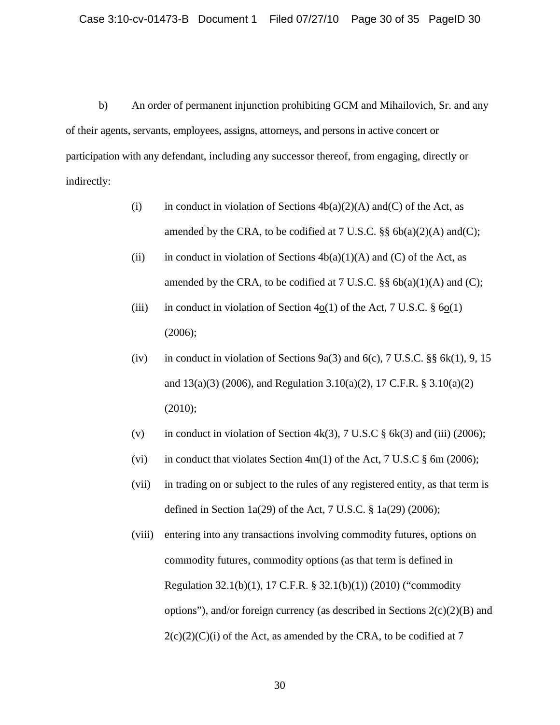b) An order of permanent injunction prohibiting GCM and Mihailovich, Sr. and any of their agents, servants, employees, assigns, attorneys, and persons in active concert or participation with any defendant, including any successor thereof, from engaging, directly or indirectly:

- (i) in conduct in violation of Sections  $4b(a)(2)(A)$  and(C) of the Act, as amended by the CRA, to be codified at  $7 \text{ U.S.C. }$  §§  $6b(a)(2)(A)$  and(C);
- (ii) in conduct in violation of Sections  $4b(a)(1)(A)$  and (C) of the Act, as amended by the CRA, to be codified at  $7 \text{ U.S.C. }$   $\S\S 66(a)(1)(A)$  and (C);
- (iii) in conduct in violation of Section 4o(1) of the Act, 7 U.S.C.  $\S$  6o(1)  $(2006);$
- (iv) in conduct in violation of Sections 9a(3) and 6(c), 7 U.S.C.  $\S$  6 k(1), 9, 15 and  $13(a)(3)$  (2006), and Regulation 3.10(a)(2), 17 C.F.R. § 3.10(a)(2) (2010);
- (v) in conduct in violation of Section  $4k(3)$ , 7 U.S.C  $\S$  6k(3) and (iii) (2006);
- (vi) in conduct that violates Section  $4m(1)$  of the Act, 7 U.S.C  $\S$  6m (2006);
- (vii) in trading on or subject to the rules of any registered entity, as that term is defined in Section 1a(29) of the Act, 7 U.S.C.  $\S$  1a(29) (2006);
- (viii) entering into any transactions involving commodity futures, options on commodity futures, commodity options (as that term is defined in Regulation 32.1(b)(1), 17 C.F.R. § 32.1(b)(1)) (2010) ("commodity options"), and/or foreign currency (as described in Sections  $2(c)(2)(B)$  and  $2(c)(2)(C)(i)$  of the Act, as amended by the CRA, to be codified at 7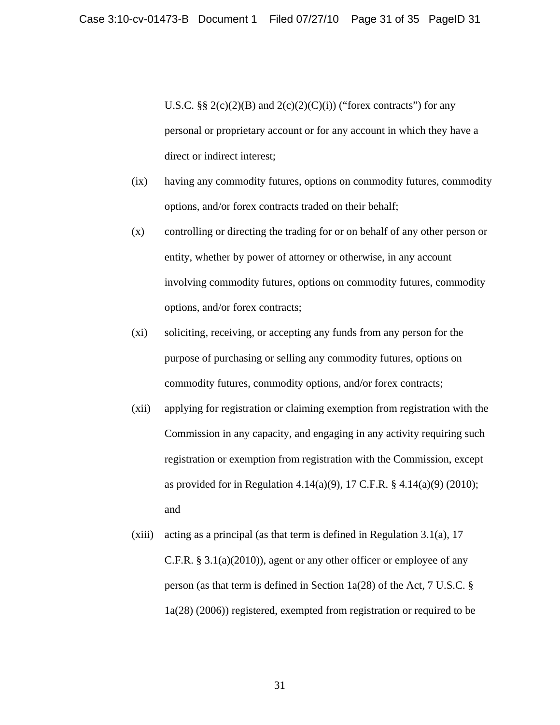U.S.C.  $\S\S 2(c)(2)(B)$  and  $2(c)(2)(C)(i)$  ("forex contracts") for any personal or proprietary account or for any account in which they have a direct or indirect interest;

- (ix) having any commodity futures, options on commodity futures, commodity options, and/or forex contracts traded on their behalf;
- (x) controlling or directing the trading for or on behalf of any other person or entity, whether by power of attorney or otherwise, in any account involving commodity futures, options on commodity futures, commodity options, and/or forex contracts;
- (xi) soliciting, receiving, or accepting any funds from any person for the purpose of purchasing or selling any commodity futures, options on commodity futures, commodity options, and/or forex contracts;
- (xii) applying for registration or claiming exemption from registration with the Commission in any capacity, and engaging in any activity requiring such registration or exemption from registration with the Commission, except as provided for in Regulation 4.14(a)(9), 17 C.F.R. § 4.14(a)(9) (2010); and
- (xiii) acting as a principal (as that term is defined in Regulation 3.1(a),  $17$ C.F.R. § 3.1(a)(2010)), agent or any other officer or employee of any person (as that term is defined in Section 1a(28) of the Act, 7 U.S.C. § 1a(28) (2006)) registered, exempted from registration or required to be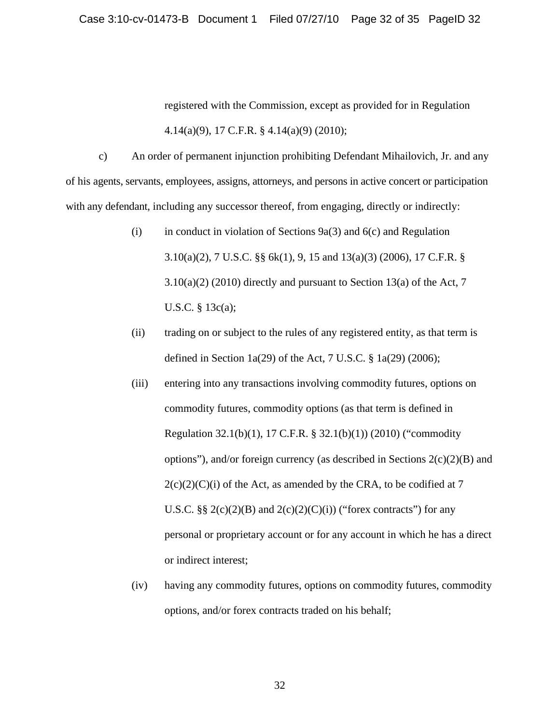registered with the Commission, except as provided for in Regulation 4.14(a)(9), 17 C.F.R. § 4.14(a)(9) (2010);

c) An order of permanent injunction prohibiting Defendant Mihailovich, Jr. and any of his agents, servants, employees, assigns, attorneys, and persons in active concert or participation with any defendant, including any successor thereof, from engaging, directly or indirectly:

- (i) in conduct in violation of Sections  $9a(3)$  and  $6(c)$  and Regulation 3.10(a)(2), 7 U.S.C. §§ 6k(1), 9, 15 and 13(a)(3) (2006), 17 C.F.R. §  $3.10(a)(2)$  (2010) directly and pursuant to Section 13(a) of the Act, 7 U.S.C. § 13c(a);
- (ii) trading on or subject to the rules of any registered entity, as that term is defined in Section 1a(29) of the Act, 7 U.S.C.  $\S$  1a(29) (2006);
- (iii) entering into any transactions involving commodity futures, options on commodity futures, commodity options (as that term is defined in Regulation 32.1(b)(1), 17 C.F.R. § 32.1(b)(1)) (2010) ("commodity options"), and/or foreign currency (as described in Sections  $2(c)(2)(B)$  and  $2(c)(2)(C)(i)$  of the Act, as amended by the CRA, to be codified at 7 U.S.C.  $\S\S 2(c)(2)(B)$  and  $2(c)(2)(C)(i)$  ("forex contracts") for any personal or proprietary account or for any account in which he has a direct or indirect interest;
- (iv) having any commodity futures, options on commodity futures, commodity options, and/or forex contracts traded on his behalf;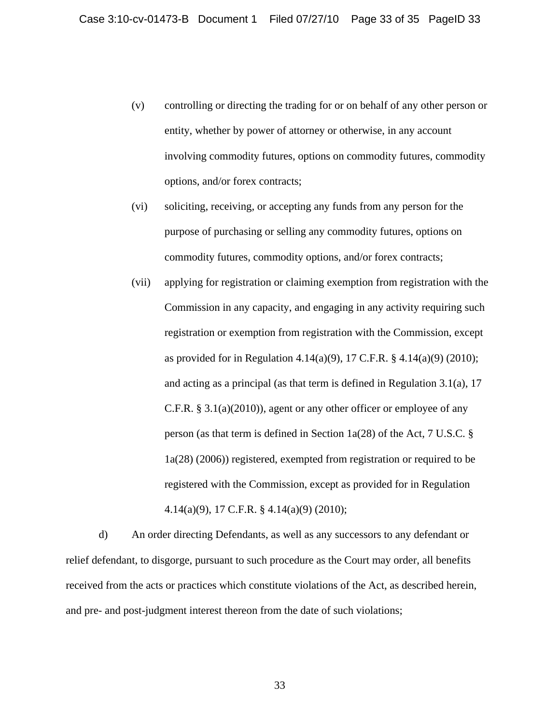- (v) controlling or directing the trading for or on behalf of any other person or entity, whether by power of attorney or otherwise, in any account involving commodity futures, options on commodity futures, commodity options, and/or forex contracts;
- (vi) soliciting, receiving, or accepting any funds from any person for the purpose of purchasing or selling any commodity futures, options on commodity futures, commodity options, and/or forex contracts;
- (vii) applying for registration or claiming exemption from registration with the Commission in any capacity, and engaging in any activity requiring such registration or exemption from registration with the Commission, except as provided for in Regulation 4.14(a)(9), 17 C.F.R. § 4.14(a)(9) (2010); and acting as a principal (as that term is defined in Regulation 3.1(a), 17 C.F.R. § 3.1(a)(2010)), agent or any other officer or employee of any person (as that term is defined in Section 1a(28) of the Act, 7 U.S.C. § 1a(28) (2006)) registered, exempted from registration or required to be registered with the Commission, except as provided for in Regulation 4.14(a)(9), 17 C.F.R. § 4.14(a)(9) (2010);

d) An order directing Defendants, as well as any successors to any defendant or relief defendant, to disgorge, pursuant to such procedure as the Court may order, all benefits received from the acts or practices which constitute violations of the Act, as described herein, and pre- and post-judgment interest thereon from the date of such violations;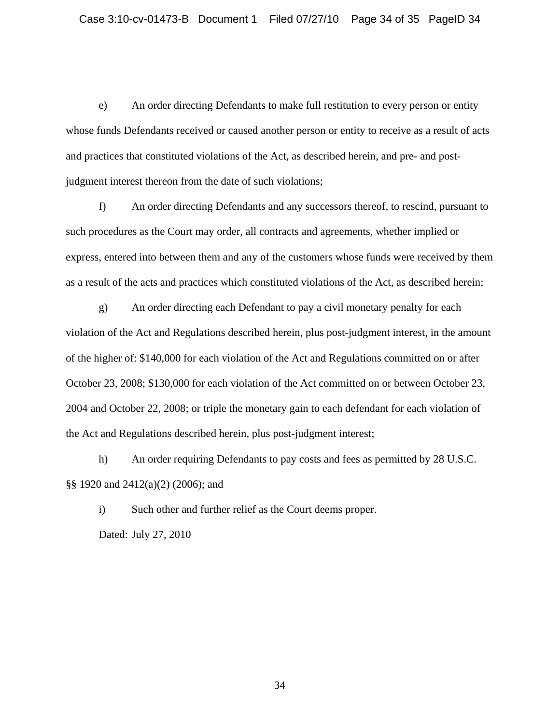e) An order directing Defendants to make full restitution to every person or entity whose funds Defendants received or caused another person or entity to receive as a result of acts and practices that constituted violations of the Act, as described herein, and pre- and postjudgment interest thereon from the date of such violations;

f) An order directing Defendants and any successors thereof, to rescind, pursuant to such procedures as the Court may order, all contracts and agreements, whether implied or express, entered into between them and any of the customers whose funds were received by them as a result of the acts and practices which constituted violations of the Act, as described herein;

g) An order directing each Defendant to pay a civil monetary penalty for each violation of the Act and Regulations described herein, plus post-judgment interest, in the amount of the higher of: \$140,000 for each violation of the Act and Regulations committed on or after October 23, 2008; \$130,000 for each violation of the Act committed on or between October 23, 2004 and October 22, 2008; or triple the monetary gain to each defendant for each violation of the Act and Regulations described herein, plus post-judgment interest;

h) An order requiring Defendants to pay costs and fees as permitted by 28 U.S.C. §§ 1920 and 2412(a)(2) (2006); and

i) Such other and further relief as the Court deems proper. Dated: July 27, 2010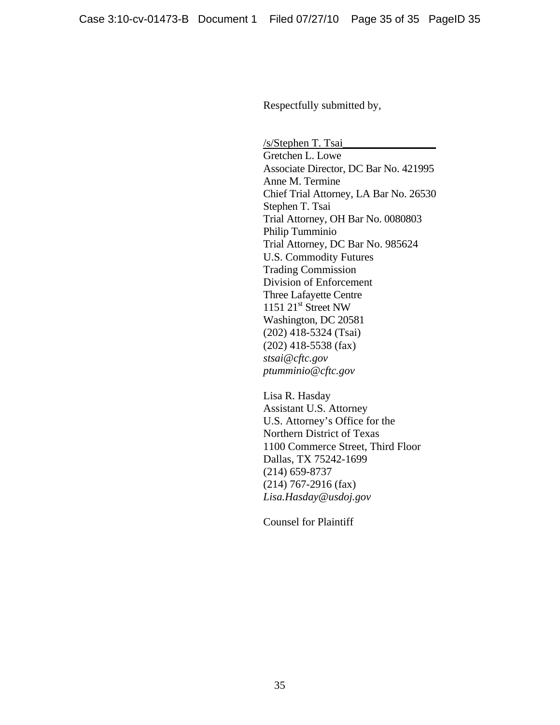Respectfully submitted by,

/s/Stephen T. Tsai\_\_\_\_\_\_\_\_\_\_\_\_\_\_\_\_\_ Gretchen L. Lowe Associate Director, DC Bar No. 421995 Anne M. Termine Chief Trial Attorney, LA Bar No. 26530 Stephen T. Tsai Trial Attorney, OH Bar No. 0080803 Philip Tumminio Trial Attorney, DC Bar No. 985624 U.S. Commodity Futures Trading Commission Division of Enforcement Three Lafayette Centre 1151  $21<sup>st</sup>$  Street NW Washington, DC 20581 (202) 418-5324 (Tsai) (202) 418-5538 (fax) *stsai@cftc.gov ptumminio@cftc.gov*

 Lisa R. Hasday Assistant U.S. Attorney U.S. Attorney's Office for the Northern District of Texas 1100 Commerce Street, Third Floor Dallas, TX 75242-1699 (214) 659-8737 (214) 767-2916 (fax) *Lisa.Hasday@usdoj.gov* 

Counsel for Plaintiff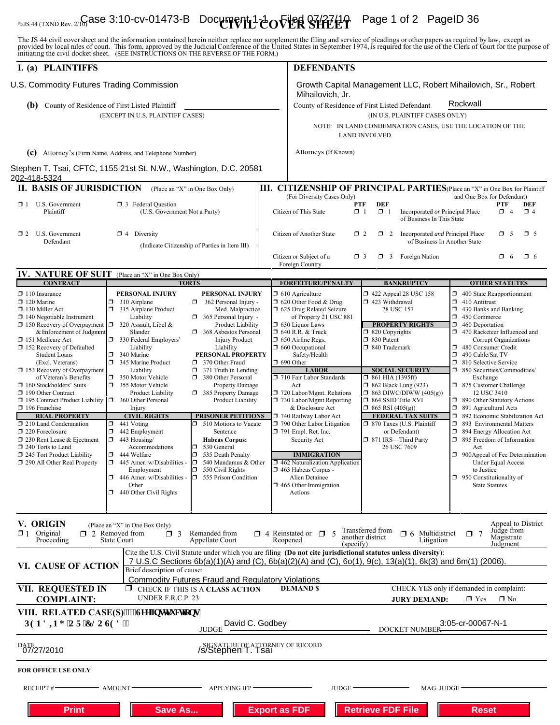# $\bullet$ <sub>US 44 (TXND Rev. 2/10)</sub> ase 3:10-cv-01473-B Document 1  $t$  ovier  $\mathbb{S}$   $\mathbb{R}$   $\mathbb{R}$   $\mathbb{R}$  Page 1 of 2 PageID 36

The JS 44 civil cover sheet and the information contained herein neither replace nor supplement the filing and service of pleadings or other papers as required by law, except as provided by local rules of court. This form,

| I. (a) PLAINTIFFS                                        |                                                                                                                | <b>DEFENDANTS</b>                                        |                                                                                          |                                                                              |  |
|----------------------------------------------------------|----------------------------------------------------------------------------------------------------------------|----------------------------------------------------------|------------------------------------------------------------------------------------------|------------------------------------------------------------------------------|--|
| U.S. Commodity Futures Trading Commission                |                                                                                                                |                                                          |                                                                                          | Growth Capital Management LLC, Robert Mihailovich, Sr., Robert               |  |
|                                                          |                                                                                                                | Mihailovich, Jr.                                         |                                                                                          | Rockwall                                                                     |  |
| (b)                                                      | County of Residence of First Listed Plaintiff                                                                  |                                                          | County of Residence of First Listed Defendant                                            |                                                                              |  |
|                                                          | (EXCEPT IN U.S. PLAINTIFF CASES)                                                                               |                                                          | (IN U.S. PLAINTIFF CASES ONLY)                                                           |                                                                              |  |
|                                                          |                                                                                                                |                                                          | NOTE: IN LAND CONDEMNATION CASES, USE THE LOCATION OF THE<br>LAND INVOLVED.              |                                                                              |  |
|                                                          | (c) Attorney's (Firm Name, Address, and Telephone Number)                                                      | Attorneys (If Known)                                     |                                                                                          |                                                                              |  |
| 202-418-5324                                             | Stephen T. Tsai, CFTC, 1155 21st St. N.W., Washington, D.C. 20581                                              |                                                          |                                                                                          |                                                                              |  |
| <b>II. BASIS OF JURISDICTION</b>                         | (Place an "X" in One Box Only)                                                                                 |                                                          |                                                                                          | III. CITIZENSHIP OF PRINCIPAL PARTIES (Place an "X" in One Box for Plaintiff |  |
| U.S. Government<br>$\mathbf{X}$ 1                        | <b>3</b> Federal Question                                                                                      | (For Diversity Cases Only)                               | <b>DEF</b><br>PTF                                                                        | and One Box for Defendant)<br><b>PTF</b><br>DEF                              |  |
| Plaintiff                                                | (U.S. Government Not a Party)                                                                                  | Citizen of This State                                    | $\Box$ 1<br>$\Box$ 1<br>Incorporated or Principal Place<br>of Business In This State     | $\Box$ 4<br>$\Box$ 4                                                         |  |
| $\Box$ 2 U.S. Government<br>Defendant                    | $\Box$ 4 Diversity<br>(Indicate Citizenship of Parties in Item III)                                            | Citizen of Another State                                 | $\Box$ 2<br>$\Box$ 2<br>Incorporated and Principal Place<br>of Business In Another State | $\Box$ 5<br>$\square$ 5                                                      |  |
|                                                          |                                                                                                                | Citizen or Subject of a<br>Foreign Country               | σ<br>3 Foreign Nation<br>$\Box$ 3                                                        | $\Box$ 6<br>$\Box$ 6                                                         |  |
|                                                          | IV. NATURE OF SUIT (Place an "X" in One Box Only)                                                              |                                                          |                                                                                          |                                                                              |  |
| <b>CONTRACT</b>                                          | <b>TORTS</b>                                                                                                   | <b>FORFEITURE/PENALTY</b>                                | <b>BANKRUPTCY</b>                                                                        | <b>OTHER STATUTES</b>                                                        |  |
| $\Box$ 110 Insurance                                     | PERSONAL INJURY<br>PERSONAL INJURY                                                                             | $\Box$ 610 Agriculture                                   | 1422 Appeal 28 USC 158                                                                   | 400 State Reapportionment                                                    |  |
| $\Box$ 120 Marine<br>130 Miller Act                      | $\Box$ 310 Airplane<br>$\Box$ 362 Personal Injury -<br>$\Box$                                                  | $\Box$ 620 Other Food & Drug                             | 423 Withdrawal<br>28 USC 157                                                             | 410 Antitrust<br>α.<br>430 Banks and Banking<br>σ                            |  |
| $\Box$ 140 Negotiable Instrument                         | 315 Airplane Product<br>Med. Malpractice<br>Liability<br>$\Box$ 365 Personal Injury -                          | 1 625 Drug Related Seizure<br>of Property 21 USC 881     |                                                                                          | σ.<br>450 Commerce                                                           |  |
| □ 150 Recovery of Overpayment □ 320 Assault, Libel &     | Product Liability                                                                                              | $\Box$ 630 Liquor Laws                                   | <b>PROPERTY RIGHTS</b>                                                                   | σ<br>460 Deportation                                                         |  |
| & Enforcement of Judgment                                | Slander<br>368 Asbestos Personal                                                                               | $\Box$ 640 R.R. & Truck                                  | $\Box$ 820 Copyrights                                                                    | 470 Racketeer Influenced and<br>α.                                           |  |
| 151 Medicare Act<br>$\Box$ 152 Recovery of Defaulted     | 330 Federal Employers'<br><b>Injury Product</b><br>Liability<br>Liability                                      | $\Box$ 650 Airline Regs.<br>$\Box$ 660 Occupational      | □ 830 Patent<br>□ 840 Trademark                                                          | Corrupt Organizations<br>ο.<br>480 Consumer Credit                           |  |
| <b>Student Loans</b>                                     | Ω.<br>340 Marine<br>PERSONAL PROPERTY                                                                          | Safety/Health                                            |                                                                                          | σ<br>490 Cable/Sat TV                                                        |  |
| (Excl. Veterans)                                         | $\Box$<br>345 Marine Product<br>370 Other Fraud                                                                | $\Box$ 690 Other                                         |                                                                                          | σ.<br>810 Selective Service                                                  |  |
| 153 Recovery of Overpayment<br>of Veteran's Benefits     | $\Box$ 371 Truth in Lending<br>Liability<br>350 Motor Vehicle<br>380 Other Personal                            | <b>LABOR</b><br>710 Fair Labor Standards                 | <b>SOCIAL SECURITY</b><br>$\Box$ 861 HIA (1395ff)                                        | ×<br>850 Securities/Commodities/                                             |  |
| $\Box$ 160 Stockholders' Suits                           | ο.<br>Property Damage<br>355 Motor Vehicle                                                                     | Act                                                      | $\Box$ 862 Black Lung (923)                                                              | Exchange<br>1 875 Customer Challenge                                         |  |
| 190 Other Contract                                       | Product Liability<br>385 Property Damage                                                                       | 720 Labor/Mgmt. Relations                                | $\Box$ 863 DIWC/DIWW (405(g))                                                            | 12 USC 3410                                                                  |  |
| 195 Contract Product Liability<br>196 Franchise          | 360 Other Personal<br>Product Liability<br>Injury                                                              | 730 Labor/Mgmt.Reporting<br>& Disclosure Act             | □ 864 SSID Title XVI<br>$\Box$ 865 RSI (405(g))                                          | 1 890 Other Statutory Actions<br>$\Box$<br>891 Agricultural Acts             |  |
| <b>REAL PROPERTY</b>                                     | <b>CIVIL RIGHTS</b><br><b>PRISONER PETITIONS</b>                                                               | 740 Railway Labor Act                                    | <b>FEDERAL TAX SUITS</b>                                                                 | Ω.<br>892 Economic Stabilization Act                                         |  |
| 210 Land Condemnation                                    | 441 Voting<br>510 Motions to Vacate<br>$\Box$<br>π.                                                            | 790 Other Labor Litigation                               | $\Box$ 870 Taxes (U.S. Plaintiff                                                         | $\Box$<br>893 Environmental Matters                                          |  |
| $\Box$ 220 Foreclosure                                   | $\Box$<br>442 Employment<br>Sentence                                                                           | $\Box$ 791 Empl. Ret. Inc.                               | or Defendant)                                                                            | 1 894 Energy Allocation Act<br>$\Box$ 895 Freedom of Information             |  |
| □ 230 Rent Lease & Ejectment<br>$\Box$ 240 Torts to Land | $\Box$<br>443 Housing/<br><b>Habeas Corpus:</b><br>Accommodations<br>530 General<br>σ                          | Security Act                                             | □ 871 IRS-Third Party<br>26 USC 7609                                                     | Act                                                                          |  |
| $\Box$ 245 Tort Product Liability                        | $\Box$ 444 Welfare<br>σ<br>535 Death Penalty                                                                   | <b>IMMIGRATION</b>                                       |                                                                                          | $\Box$ 900Appeal of Fee Determination                                        |  |
| □ 290 All Other Real Property                            | $\Box$ 445 Amer. w/Disabilities -<br>540 Mandamus & Other<br>D.                                                | $\Box$ 462 Naturalization Application                    |                                                                                          | <b>Under Equal Access</b>                                                    |  |
|                                                          | Employment<br>$\Box$ 550 Civil Rights<br>555 Prison Condition<br>$\Box$ 446 Amer. w/Disabilities -             | $\Box$ 463 Habeas Corpus -<br>Alien Detainee             |                                                                                          | to Justice<br>$\Box$ 950 Constitutionality of                                |  |
|                                                          | Other                                                                                                          | $\Box$ 465 Other Immigration                             |                                                                                          | <b>State Statutes</b>                                                        |  |
|                                                          | $\Box$ 440 Other Civil Rights                                                                                  | Actions                                                  |                                                                                          |                                                                              |  |
| V. ORIGIN                                                | (Place an "X" in One Box Only)                                                                                 |                                                          |                                                                                          | Appeal to District                                                           |  |
| Original<br>$\mathbf{R}$ 1<br>Proceeding                 | $\Box$ 2 Removed from<br>$\Box$ 3<br>Remanded from<br><b>State Court</b><br>Appellate Court                    | $\Box$ 4 Reinstated or $\Box$ 5<br>Reopened<br>(specify) | Transferred from<br>$\Box$ 6 Multidistrict<br>another district<br>Litigation             | Judge from<br>$\Box$ 7<br>Magistrate<br>Judgment                             |  |
|                                                          | Cite the U.S. Civil Statute under which you are filing (Do not cite jurisdictional statutes unless diversity): |                                                          |                                                                                          |                                                                              |  |
| <b>VI. CAUSE OF ACTION</b>                               | 7 U.S.C Sections 6b(a)(1)(A) and (C), 6b(a)(2)(A) and (C), 6o(1), 9(c), 13(a)(1), 6k(3) and 6m(1) (2006).      |                                                          |                                                                                          |                                                                              |  |
|                                                          | Brief description of cause:<br><b>Commodity Futures Fraud and Regulatory Violations</b>                        |                                                          |                                                                                          |                                                                              |  |
| VII. REQUESTED IN                                        | CHECK IF THIS IS A CLASS ACTION<br>П.                                                                          | <b>DEMAND \$</b>                                         |                                                                                          | CHECK YES only if demanded in complaint:                                     |  |
| <b>COMPLAINT:</b>                                        | UNDER F.R.C.P. 23                                                                                              |                                                          | <b>JURY DEMAND:</b>                                                                      | $\blacksquare$ No<br>$\Box$ Yes                                              |  |
| <b>RGPFIPI 'QT'ENQUGF&lt;'</b>                           | VIII. RELATED CASE(S)""*Ugg'lpunt wevkqpu+<br>David C. Godbey                                                  |                                                          |                                                                                          | 3:05-cr-00067-N-1                                                            |  |
|                                                          | <b>JUDGE</b>                                                                                                   |                                                          | <b>DOCKET NUMBER</b>                                                                     |                                                                              |  |
| DATE 27/2010                                             | SIGNATURE OF ATTORNEY OF RECORD<br>S/Stephen T. Tsai                                                           |                                                          |                                                                                          |                                                                              |  |
| <b>FOR OFFICE USE ONLY</b>                               |                                                                                                                |                                                          |                                                                                          |                                                                              |  |
| RECEIPT #                                                | <b>APPLYING IFP-</b><br>$-$ amount.                                                                            | JUDGE.                                                   | MAG. JUDGE                                                                               |                                                                              |  |
| <b>Print</b>                                             | <b>Save As</b>                                                                                                 | <b>Export as FDF</b>                                     | <b>Retrieve FDF File</b>                                                                 | <b>Reset</b>                                                                 |  |